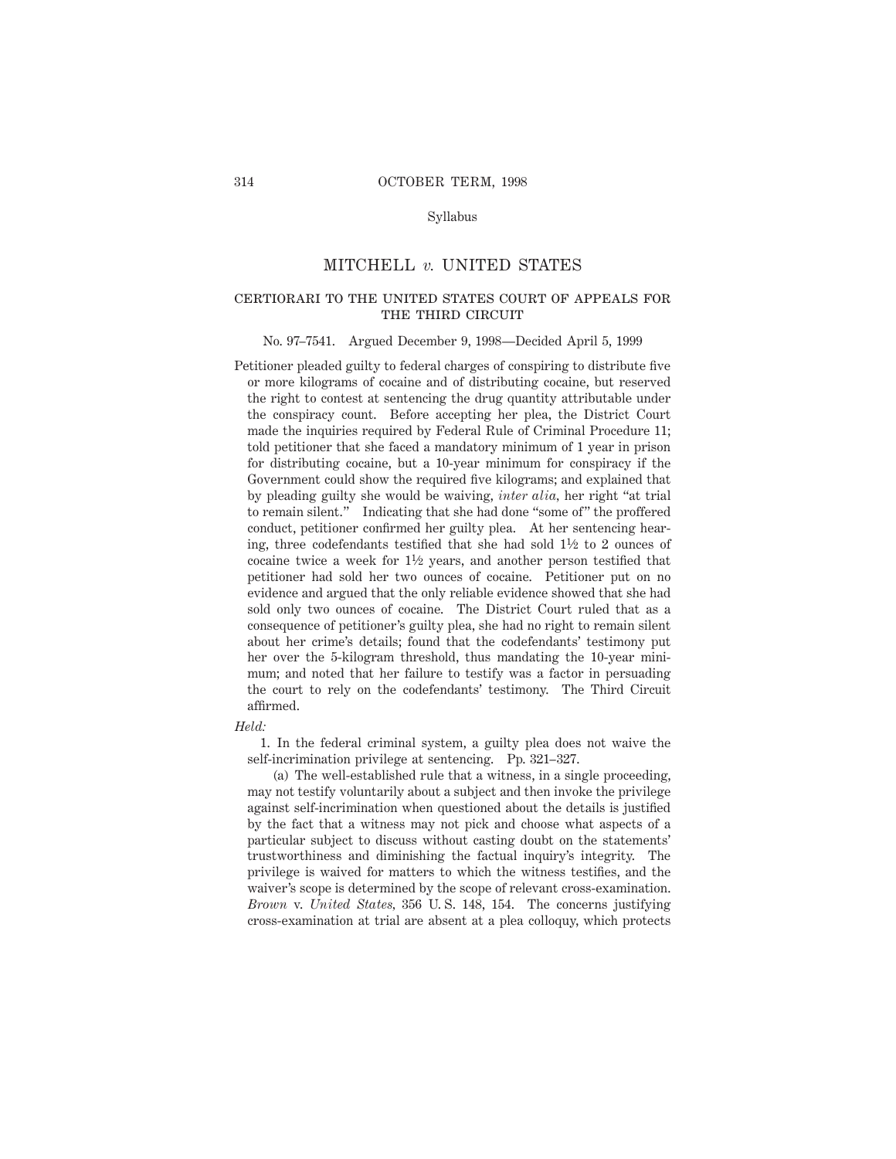### Syllabus

# MITCHELL *v.* UNITED STATES

### certiorari to the united states court of appeals forTHE THIRD CIRCUIT

#### No. 97–7541. Argued December 9, 1998—Decided April 5, 1999

Petitioner pleaded guilty to federal charges of conspiring to distribute five or more kilograms of cocaine and of distributing cocaine, but reserved the right to contest at sentencing the drug quantity attributable under the conspiracy count. Before accepting her plea, the District Court made the inquiries required by Federal Rule of Criminal Procedure 11; told petitioner that she faced a mandatory minimum of 1 year in prison for distributing cocaine, but a 10-year minimum for conspiracy if the Government could show the required five kilograms; and explained that by pleading guilty she would be waiving, *inter alia,* her right "at trial to remain silent." Indicating that she had done "some of" the proffered conduct, petitioner confirmed her guilty plea. At her sentencing hearing, three codefendants testified that she had sold  $1\frac{1}{2}$  to 2 ounces of cocaine twice a week for  $1\frac{1}{2}$  years, and another person testified that petitioner had sold her two ounces of cocaine. Petitioner put on no evidence and argued that the only reliable evidence showed that she had sold only two ounces of cocaine. The District Court ruled that as a consequence of petitioner's guilty plea, she had no right to remain silent about her crime's details; found that the codefendants' testimony put her over the 5-kilogram threshold, thus mandating the 10-year minimum; and noted that her failure to testify was a factor in persuading the court to rely on the codefendants' testimony. The Third Circuit affirmed.

#### *Held:*

1. In the federal criminal system, a guilty plea does not waive the self-incrimination privilege at sentencing. Pp. 321–327.

(a) The well-established rule that a witness, in a single proceeding, may not testify voluntarily about a subject and then invoke the privilege against self-incrimination when questioned about the details is justified by the fact that a witness may not pick and choose what aspects of a particular subject to discuss without casting doubt on the statements' trustworthiness and diminishing the factual inquiry's integrity. The privilege is waived for matters to which the witness testifies, and the waiver's scope is determined by the scope of relevant cross-examination. *Brown* v. *United States,* 356 U. S. 148, 154. The concerns justifying cross-examination at trial are absent at a plea colloquy, which protects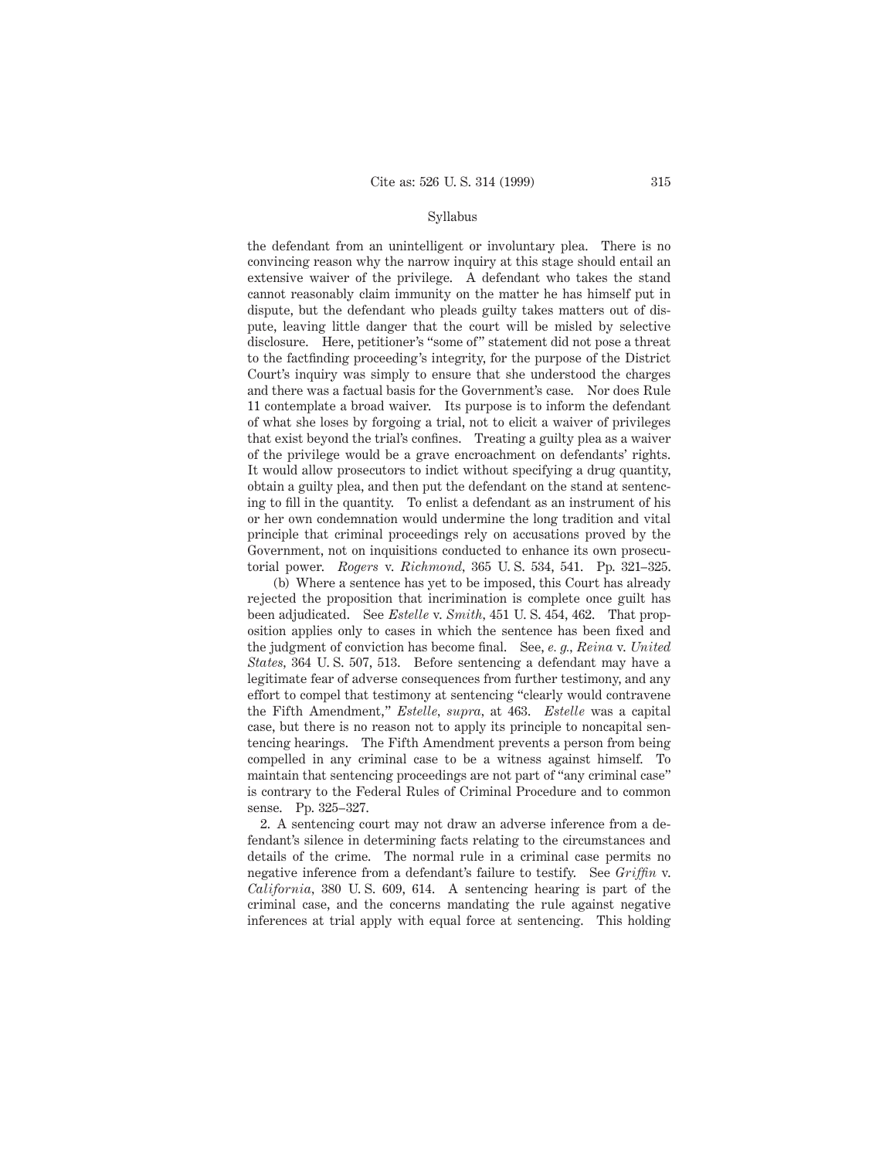#### Syllabus

the defendant from an unintelligent or involuntary plea. There is no convincing reason why the narrow inquiry at this stage should entail an extensive waiver of the privilege. A defendant who takes the stand cannot reasonably claim immunity on the matter he has himself put in dispute, but the defendant who pleads guilty takes matters out of dispute, leaving little danger that the court will be misled by selective disclosure. Here, petitioner's "some of" statement did not pose a threat to the factfinding proceeding's integrity, for the purpose of the District Court's inquiry was simply to ensure that she understood the charges and there was a factual basis for the Government's case. Nor does Rule 11 contemplate a broad waiver. Its purpose is to inform the defendant of what she loses by forgoing a trial, not to elicit a waiver of privileges that exist beyond the trial's confines. Treating a guilty plea as a waiver of the privilege would be a grave encroachment on defendants' rights. It would allow prosecutors to indict without specifying a drug quantity, obtain a guilty plea, and then put the defendant on the stand at sentencing to fill in the quantity. To enlist a defendant as an instrument of his or her own condemnation would undermine the long tradition and vital principle that criminal proceedings rely on accusations proved by the Government, not on inquisitions conducted to enhance its own prosecutorial power. *Rogers* v. *Richmond,* 365 U. S. 534, 541. Pp. 321–325.

(b) Where a sentence has yet to be imposed, this Court has already rejected the proposition that incrimination is complete once guilt has been adjudicated. See *Estelle* v. *Smith,* 451 U. S. 454, 462. That proposition applies only to cases in which the sentence has been fixed and the judgment of conviction has become final. See, *e. g., Reina* v. *United States,* 364 U. S. 507, 513. Before sentencing a defendant may have a legitimate fear of adverse consequences from further testimony, and any effort to compel that testimony at sentencing "clearly would contravene the Fifth Amendment," *Estelle, supra,* at 463. *Estelle* was a capital case, but there is no reason not to apply its principle to noncapital sentencing hearings. The Fifth Amendment prevents a person from being compelled in any criminal case to be a witness against himself. To maintain that sentencing proceedings are not part of "any criminal case" is contrary to the Federal Rules of Criminal Procedure and to common sense. Pp. 325–327.

2. A sentencing court may not draw an adverse inference from a defendant's silence in determining facts relating to the circumstances and details of the crime. The normal rule in a criminal case permits no negative inference from a defendant's failure to testify. See *Griffin* v. *California,* 380 U. S. 609, 614. A sentencing hearing is part of the criminal case, and the concerns mandating the rule against negative inferences at trial apply with equal force at sentencing. This holding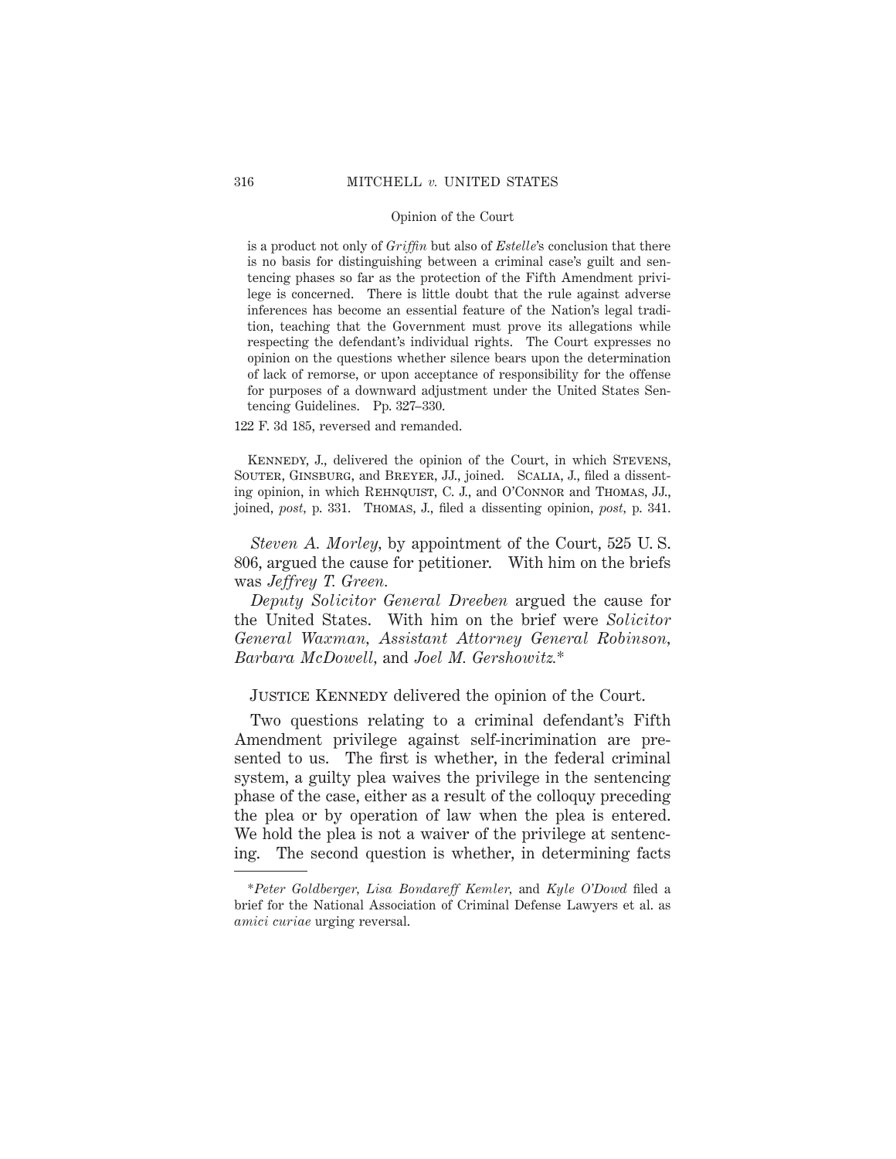is a product not only of *Griffin* but also of *Estelle*'s conclusion that there is no basis for distinguishing between a criminal case's guilt and sentencing phases so far as the protection of the Fifth Amendment privilege is concerned. There is little doubt that the rule against adverse inferences has become an essential feature of the Nation's legal tradition, teaching that the Government must prove its allegations while respecting the defendant's individual rights. The Court expresses no opinion on the questions whether silence bears upon the determination of lack of remorse, or upon acceptance of responsibility for the offense for purposes of a downward adjustment under the United States Sentencing Guidelines. Pp. 327–330.

122 F. 3d 185, reversed and remanded.

KENNEDY, J., delivered the opinion of the Court, in which STEVENS, Souter, Ginsburg, and Breyer, JJ., joined. Scalia, J., filed a dissenting opinion, in which REHNQUIST, C. J., and O'CONNOR and THOMAS, JJ., joined, *post,* p. 331. Thomas, J., filed a dissenting opinion, *post,* p. 341.

*Steven A. Morley,* by appointment of the Court, 525 U. S. 806, argued the cause for petitioner. With him on the briefs was *Jeffrey T. Green.*

*Deputy Solicitor General Dreeben* argued the cause for the United States. With him on the brief were *Solicitor General Waxman, Assistant Attorney General Robinson, Barbara McDowell,* and *Joel M. Gershowitz.*\*

JUSTICE KENNEDY delivered the opinion of the Court.

Two questions relating to a criminal defendant's Fifth Amendment privilege against self-incrimination are presented to us. The first is whether, in the federal criminal system, a guilty plea waives the privilege in the sentencing phase of the case, either as a result of the colloquy preceding the plea or by operation of law when the plea is entered. We hold the plea is not a waiver of the privilege at sentencing. The second question is whether, in determining facts

<sup>\*</sup>*Peter Goldberger, Lisa Bondareff Kemler,* and *Kyle O'Dowd* filed a brief for the National Association of Criminal Defense Lawyers et al. as *amici curiae* urging reversal.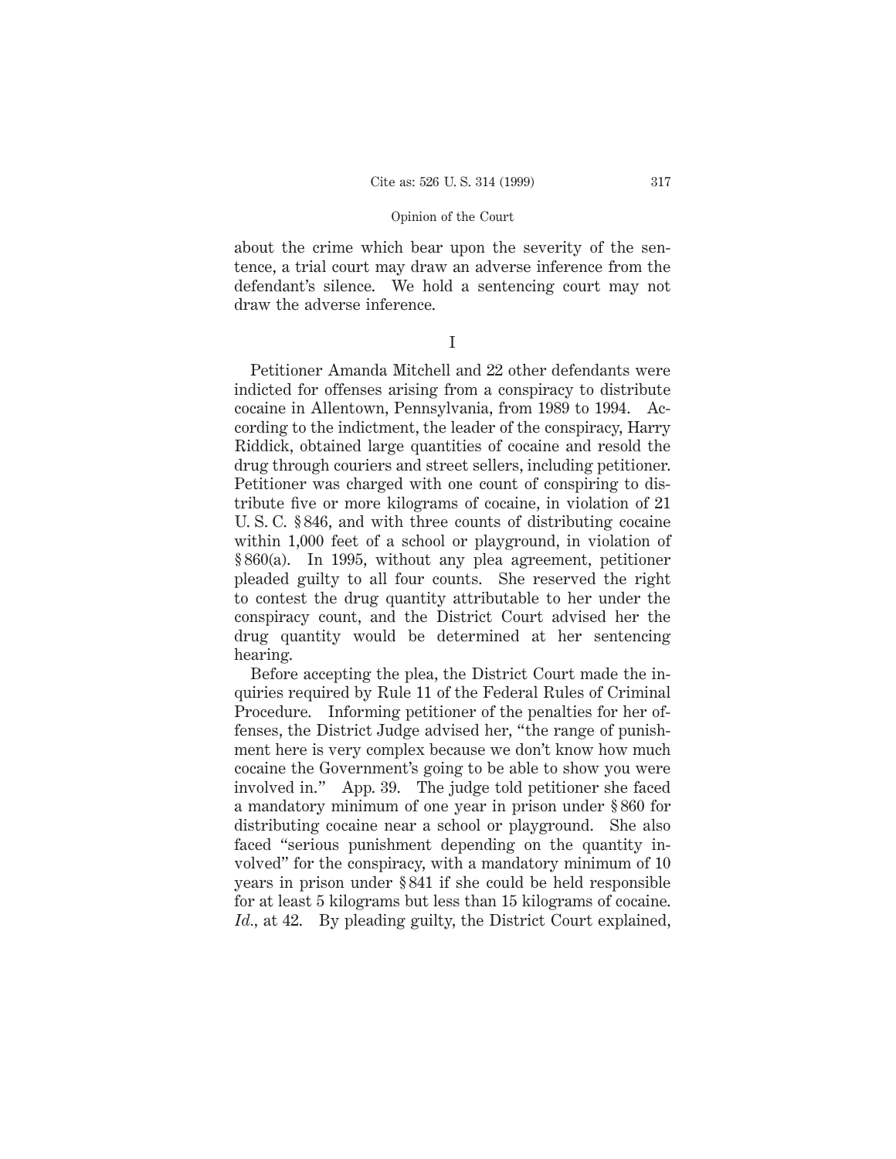about the crime which bear upon the severity of the sentence, a trial court may draw an adverse inference from the defendant's silence. We hold a sentencing court may not draw the adverse inference.

I

Petitioner Amanda Mitchell and 22 other defendants were indicted for offenses arising from a conspiracy to distribute cocaine in Allentown, Pennsylvania, from 1989 to 1994. According to the indictment, the leader of the conspiracy, Harry Riddick, obtained large quantities of cocaine and resold the drug through couriers and street sellers, including petitioner. Petitioner was charged with one count of conspiring to distribute five or more kilograms of cocaine, in violation of 21 U. S. C. § 846, and with three counts of distributing cocaine within 1,000 feet of a school or playground, in violation of § 860(a). In 1995, without any plea agreement, petitioner pleaded guilty to all four counts. She reserved the right to contest the drug quantity attributable to her under the conspiracy count, and the District Court advised her the drug quantity would be determined at her sentencing hearing.

Before accepting the plea, the District Court made the inquiries required by Rule 11 of the Federal Rules of Criminal Procedure. Informing petitioner of the penalties for her offenses, the District Judge advised her, "the range of punishment here is very complex because we don't know how much cocaine the Government's going to be able to show you were involved in." App. 39. The judge told petitioner she faced a mandatory minimum of one year in prison under § 860 for distributing cocaine near a school or playground. She also faced "serious punishment depending on the quantity involved" for the conspiracy, with a mandatory minimum of 10 years in prison under § 841 if she could be held responsible for at least 5 kilograms but less than 15 kilograms of cocaine. *Id.,* at 42. By pleading guilty, the District Court explained,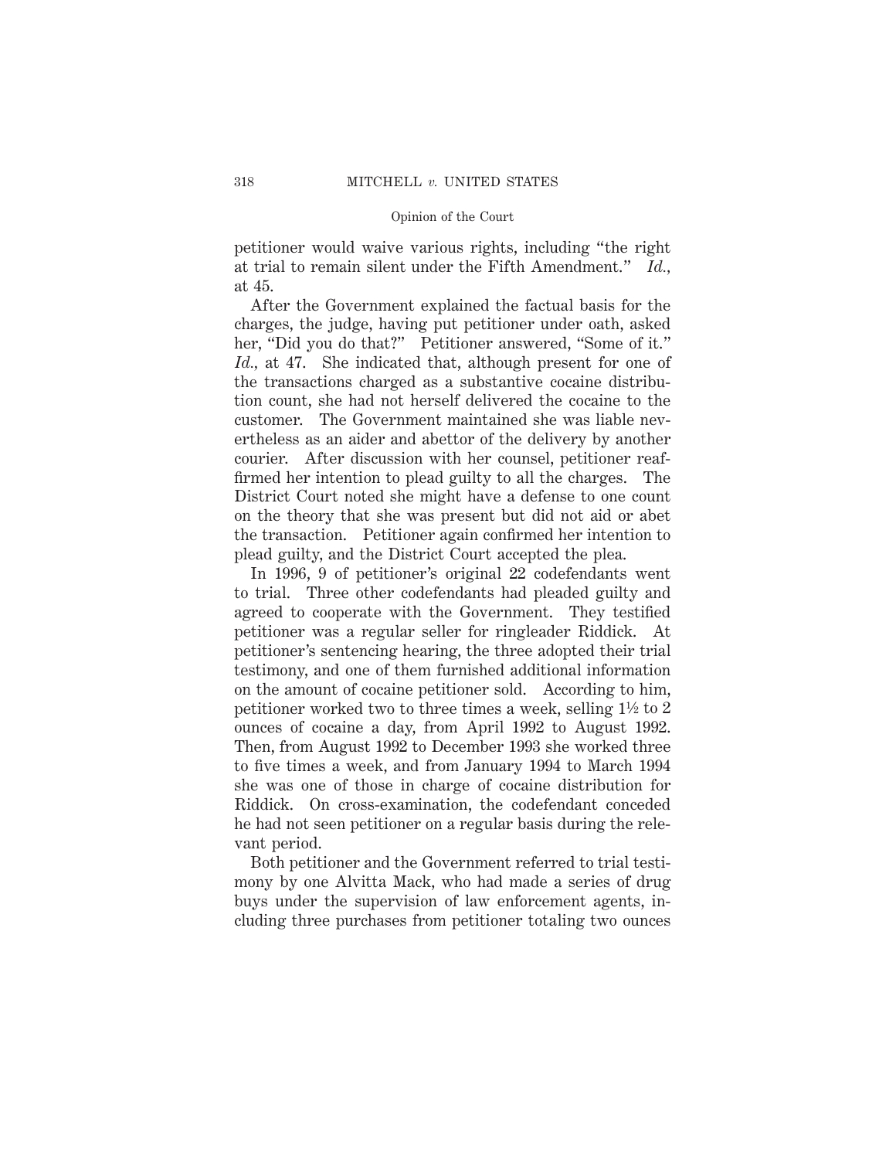petitioner would waive various rights, including "the right at trial to remain silent under the Fifth Amendment." *Id.,* at 45.

After the Government explained the factual basis for the charges, the judge, having put petitioner under oath, asked her, "Did you do that?" Petitioner answered, "Some of it." *Id.,* at 47. She indicated that, although present for one of the transactions charged as a substantive cocaine distribution count, she had not herself delivered the cocaine to the customer. The Government maintained she was liable nevertheless as an aider and abettor of the delivery by another courier. After discussion with her counsel, petitioner reaffirmed her intention to plead guilty to all the charges. The District Court noted she might have a defense to one count on the theory that she was present but did not aid or abet the transaction. Petitioner again confirmed her intention to plead guilty, and the District Court accepted the plea.

In 1996, 9 of petitioner's original 22 codefendants went to trial. Three other codefendants had pleaded guilty and agreed to cooperate with the Government. They testified petitioner was a regular seller for ringleader Riddick. At petitioner's sentencing hearing, the three adopted their trial testimony, and one of them furnished additional information on the amount of cocaine petitioner sold. According to him, petitioner worked two to three times a week, selling  $1\frac{1}{2}$  to 2 ounces of cocaine a day, from April 1992 to August 1992. Then, from August 1992 to December 1993 she worked three to five times a week, and from January 1994 to March 1994 she was one of those in charge of cocaine distribution for Riddick. On cross-examination, the codefendant conceded he had not seen petitioner on a regular basis during the relevant period.

Both petitioner and the Government referred to trial testimony by one Alvitta Mack, who had made a series of drug buys under the supervision of law enforcement agents, including three purchases from petitioner totaling two ounces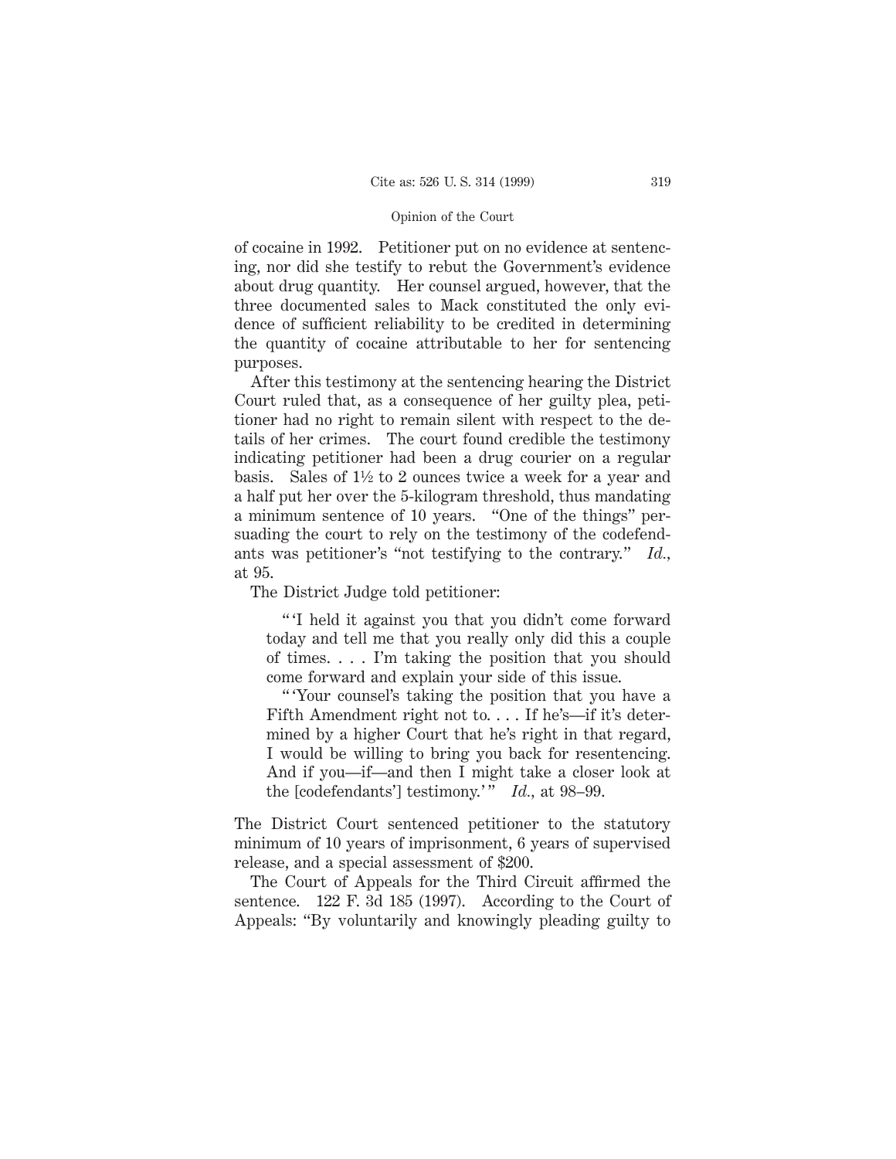of cocaine in 1992. Petitioner put on no evidence at sentencing, nor did she testify to rebut the Government's evidence about drug quantity. Her counsel argued, however, that the three documented sales to Mack constituted the only evidence of sufficient reliability to be credited in determining the quantity of cocaine attributable to her for sentencing purposes.

After this testimony at the sentencing hearing the District Court ruled that, as a consequence of her guilty plea, petitioner had no right to remain silent with respect to the details of her crimes. The court found credible the testimony indicating petitioner had been a drug courier on a regular basis. Sales of  $1\frac{1}{2}$  to 2 ounces twice a week for a year and a half put her over the 5-kilogram threshold, thus mandating a minimum sentence of 10 years. "One of the things" persuading the court to rely on the testimony of the codefendants was petitioner's "not testifying to the contrary." *Id.,* at 95.

The District Judge told petitioner:

" 'I held it against you that you didn't come forward today and tell me that you really only did this a couple of times. . . . I'm taking the position that you should come forward and explain your side of this issue.

" 'Your counsel's taking the position that you have a Fifth Amendment right not to. . . . If he's—if it's determined by a higher Court that he's right in that regard, I would be willing to bring you back for resentencing. And if you—if—and then I might take a closer look at the [codefendants'] testimony.'" *Id.*, at 98–99.

The District Court sentenced petitioner to the statutory minimum of 10 years of imprisonment, 6 years of supervised release, and a special assessment of \$200.

The Court of Appeals for the Third Circuit affirmed the sentence. 122 F. 3d 185 (1997). According to the Court of Appeals: "By voluntarily and knowingly pleading guilty to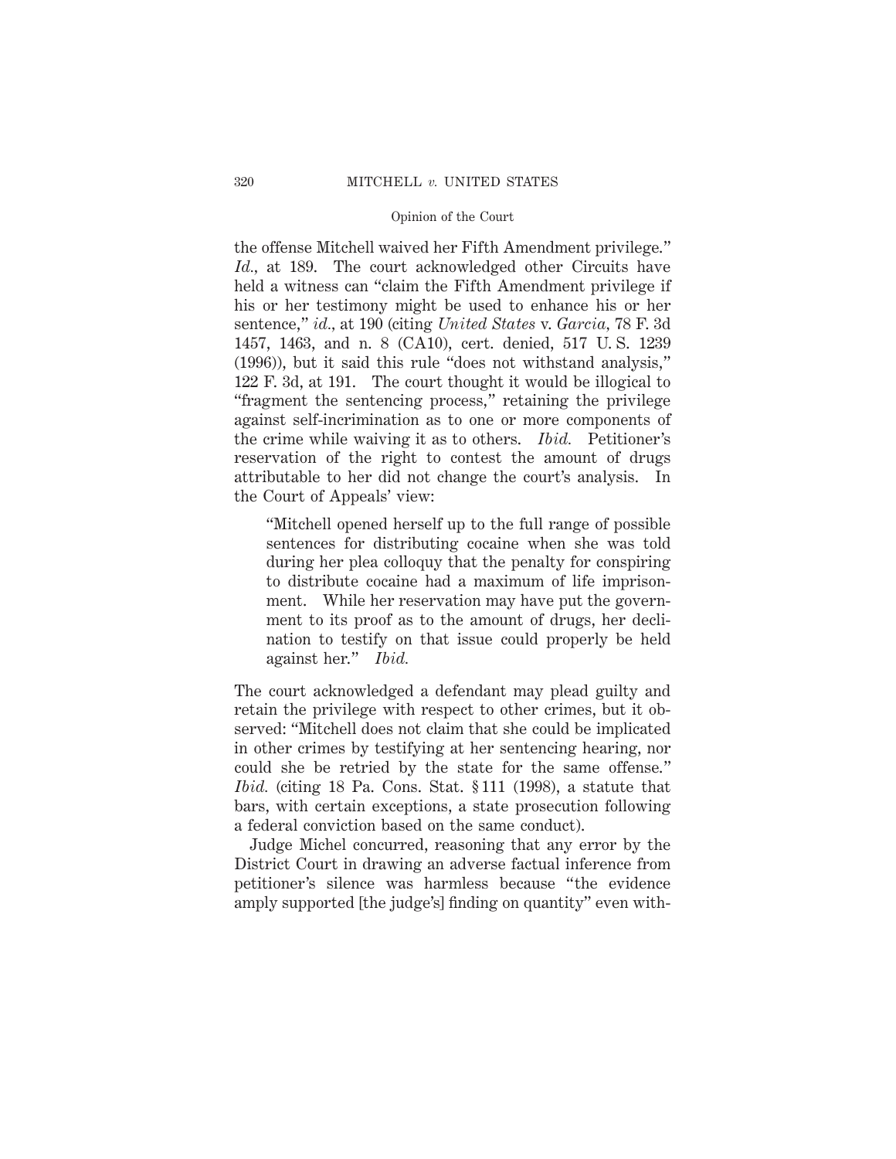the offense Mitchell waived her Fifth Amendment privilege." *Id.,* at 189. The court acknowledged other Circuits have held a witness can "claim the Fifth Amendment privilege if his or her testimony might be used to enhance his or her sentence," *id.,* at 190 (citing *United States* v. *Garcia,* 78 F. 3d 1457, 1463, and n. 8 (CA10), cert. denied, 517 U. S. 1239 (1996)), but it said this rule "does not withstand analysis," 122 F. 3d, at 191. The court thought it would be illogical to "fragment the sentencing process," retaining the privilege against self-incrimination as to one or more components of the crime while waiving it as to others. *Ibid.* Petitioner's reservation of the right to contest the amount of drugs attributable to her did not change the court's analysis. In the Court of Appeals' view:

"Mitchell opened herself up to the full range of possible sentences for distributing cocaine when she was told during her plea colloquy that the penalty for conspiring to distribute cocaine had a maximum of life imprisonment. While her reservation may have put the government to its proof as to the amount of drugs, her declination to testify on that issue could properly be held against her." *Ibid.*

The court acknowledged a defendant may plead guilty and retain the privilege with respect to other crimes, but it observed: "Mitchell does not claim that she could be implicated in other crimes by testifying at her sentencing hearing, nor could she be retried by the state for the same offense." *Ibid.* (citing 18 Pa. Cons. Stat. § 111 (1998), a statute that bars, with certain exceptions, a state prosecution following a federal conviction based on the same conduct).

Judge Michel concurred, reasoning that any error by the District Court in drawing an adverse factual inference from petitioner's silence was harmless because "the evidence amply supported [the judge's] finding on quantity" even with-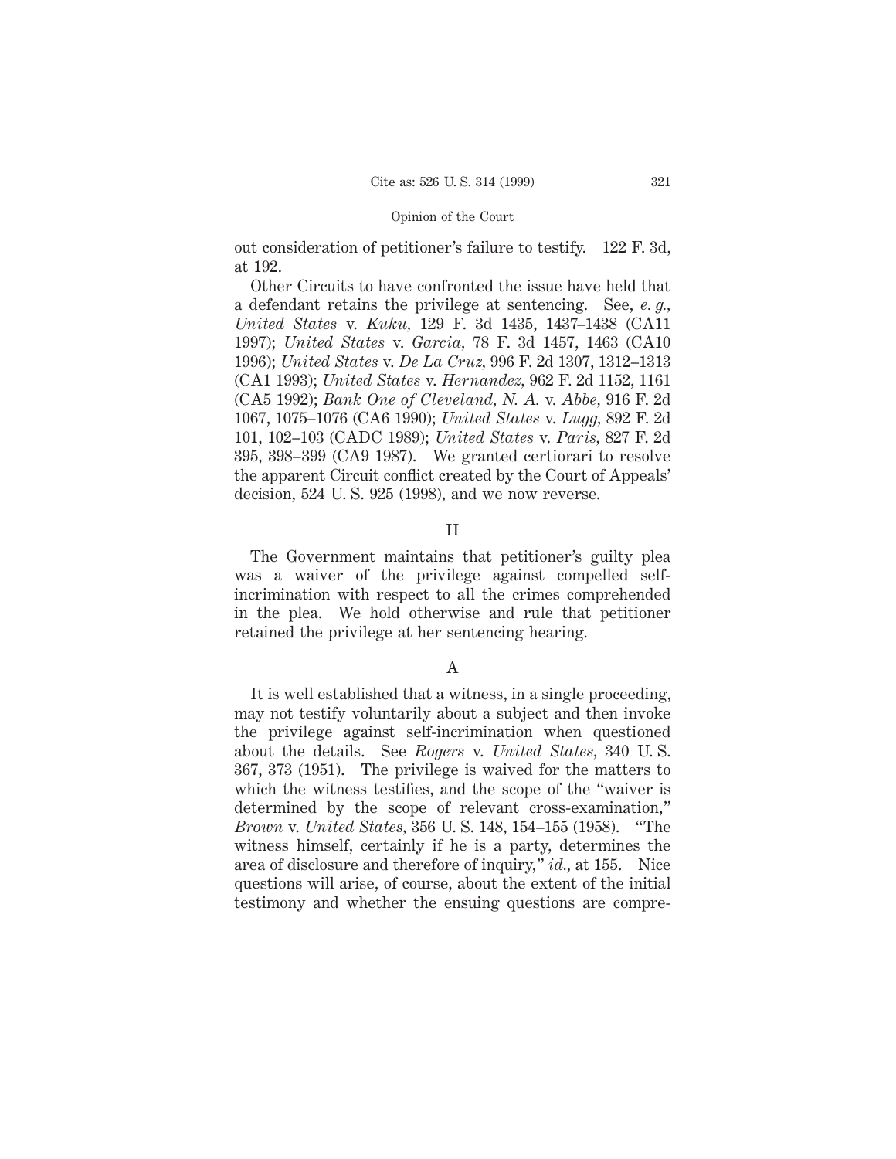out consideration of petitioner's failure to testify. 122 F. 3d, at 192.

Other Circuits to have confronted the issue have held that a defendant retains the privilege at sentencing. See, *e. g., United States* v. *Kuku,* 129 F. 3d 1435, 1437–1438 (CA11 1997); *United States* v. *Garcia,* 78 F. 3d 1457, 1463 (CA10 1996); *United States* v. *De La Cruz,* 996 F. 2d 1307, 1312–1313 (CA1 1993); *United States* v. *Hernandez,* 962 F. 2d 1152, 1161 (CA5 1992); *Bank One of Cleveland, N. A.* v. *Abbe,* 916 F. 2d 1067, 1075–1076 (CA6 1990); *United States* v. *Lugg,* 892 F. 2d 101, 102–103 (CADC 1989); *United States* v. *Paris,* 827 F. 2d 395, 398–399 (CA9 1987). We granted certiorari to resolve the apparent Circuit conflict created by the Court of Appeals' decision, 524 U. S. 925 (1998), and we now reverse.

### II

The Government maintains that petitioner's guilty plea was a waiver of the privilege against compelled selfincrimination with respect to all the crimes comprehended in the plea. We hold otherwise and rule that petitioner retained the privilege at her sentencing hearing.

### A

It is well established that a witness, in a single proceeding, may not testify voluntarily about a subject and then invoke the privilege against self-incrimination when questioned about the details. See *Rogers* v. *United States,* 340 U. S. 367, 373 (1951). The privilege is waived for the matters to which the witness testifies, and the scope of the "waiver is determined by the scope of relevant cross-examination," *Brown* v. *United States,* 356 U. S. 148, 154–155 (1958). "The witness himself, certainly if he is a party, determines the area of disclosure and therefore of inquiry," *id.,* at 155. Nice questions will arise, of course, about the extent of the initial testimony and whether the ensuing questions are compre-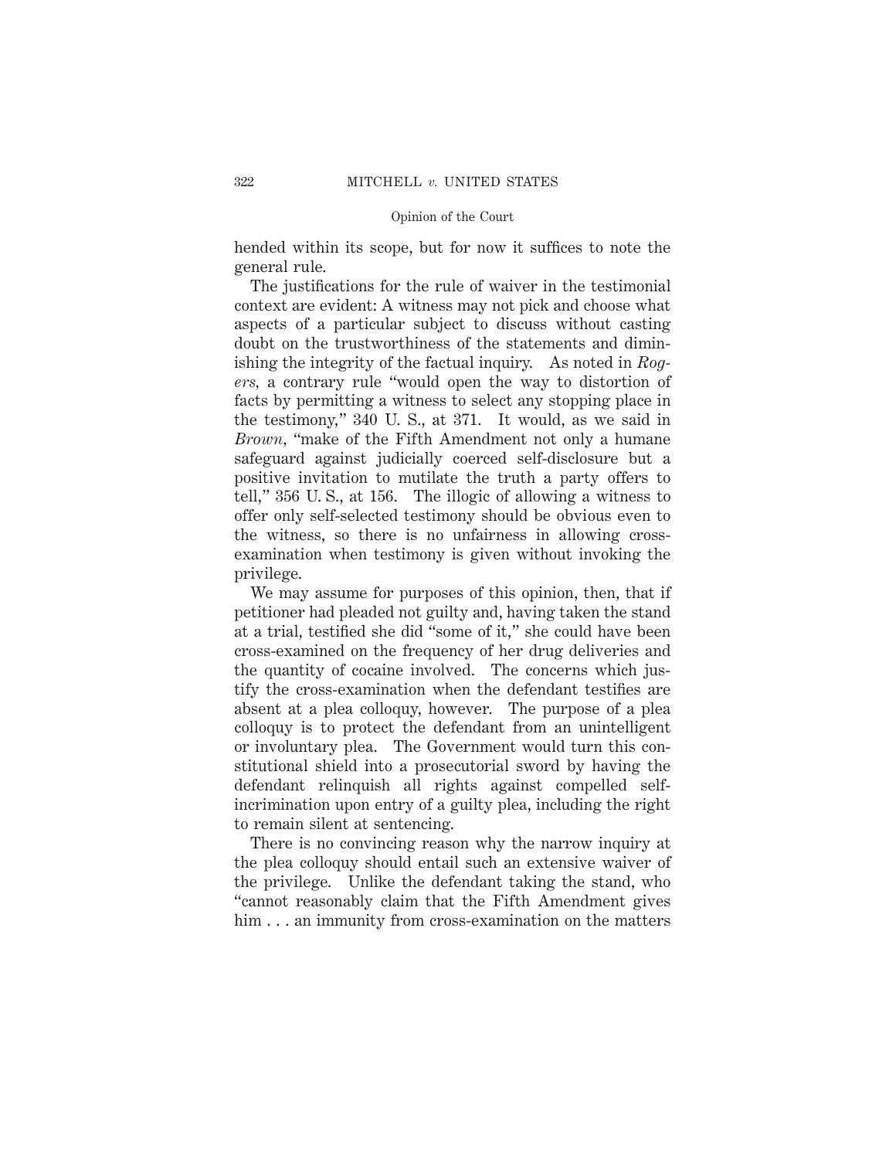hended within its scope, but for now it suffices to note the general rule.

The justifications for the rule of waiver in the testimonial context are evident: A witness may not pick and choose what aspects of a particular subject to discuss without casting doubt on the trustworthiness of the statements and diminishing the integrity of the factual inquiry. As noted in *Rogers,* a contrary rule "would open the way to distortion of facts by permitting a witness to select any stopping place in the testimony," 340 U. S., at 371. It would, as we said in *Brown,* "make of the Fifth Amendment not only a humane safeguard against judicially coerced self-disclosure but a positive invitation to mutilate the truth a party offers to tell," 356 U. S., at 156. The illogic of allowing a witness to offer only self-selected testimony should be obvious even to the witness, so there is no unfairness in allowing crossexamination when testimony is given without invoking the privilege.

We may assume for purposes of this opinion, then, that if petitioner had pleaded not guilty and, having taken the stand at a trial, testified she did "some of it," she could have been cross-examined on the frequency of her drug deliveries and the quantity of cocaine involved. The concerns which justify the cross-examination when the defendant testifies are absent at a plea colloquy, however. The purpose of a plea colloquy is to protect the defendant from an unintelligent or involuntary plea. The Government would turn this constitutional shield into a prosecutorial sword by having the defendant relinquish all rights against compelled selfincrimination upon entry of a guilty plea, including the right to remain silent at sentencing.

There is no convincing reason why the narrow inquiry at the plea colloquy should entail such an extensive waiver of the privilege. Unlike the defendant taking the stand, who "cannot reasonably claim that the Fifth Amendment gives him . . . an immunity from cross-examination on the matters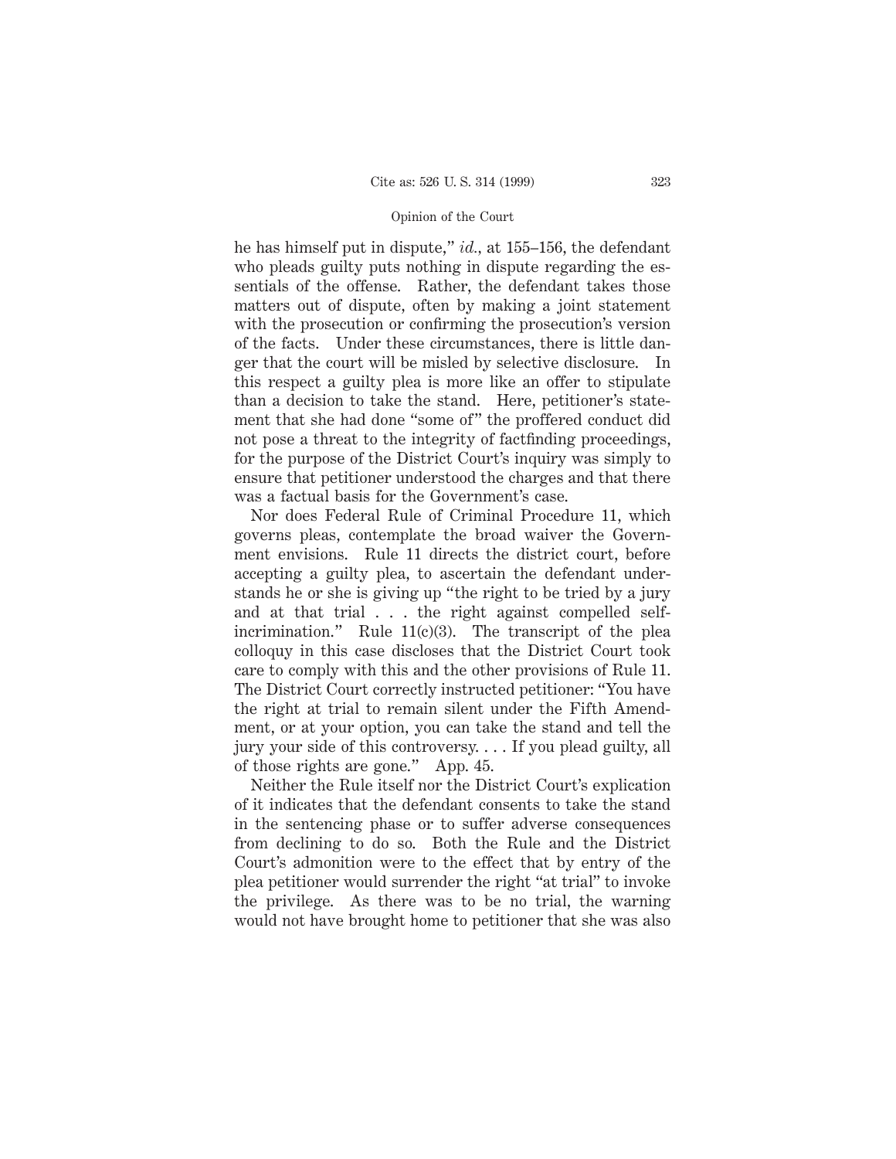he has himself put in dispute," *id.,* at 155–156, the defendant who pleads guilty puts nothing in dispute regarding the essentials of the offense. Rather, the defendant takes those matters out of dispute, often by making a joint statement with the prosecution or confirming the prosecution's version of the facts. Under these circumstances, there is little danger that the court will be misled by selective disclosure. In this respect a guilty plea is more like an offer to stipulate than a decision to take the stand. Here, petitioner's statement that she had done "some of" the proffered conduct did not pose a threat to the integrity of factfinding proceedings, for the purpose of the District Court's inquiry was simply to ensure that petitioner understood the charges and that there was a factual basis for the Government's case.

Nor does Federal Rule of Criminal Procedure 11, which governs pleas, contemplate the broad waiver the Government envisions. Rule 11 directs the district court, before accepting a guilty plea, to ascertain the defendant understands he or she is giving up "the right to be tried by a jury and at that trial . . . the right against compelled selfincrimination." Rule  $11(c)(3)$ . The transcript of the plea colloquy in this case discloses that the District Court took care to comply with this and the other provisions of Rule 11. The District Court correctly instructed petitioner: "You have the right at trial to remain silent under the Fifth Amendment, or at your option, you can take the stand and tell the jury your side of this controversy. . . . If you plead guilty, all of those rights are gone." App. 45.

Neither the Rule itself nor the District Court's explication of it indicates that the defendant consents to take the stand in the sentencing phase or to suffer adverse consequences from declining to do so. Both the Rule and the District Court's admonition were to the effect that by entry of the plea petitioner would surrender the right "at trial" to invoke the privilege. As there was to be no trial, the warning would not have brought home to petitioner that she was also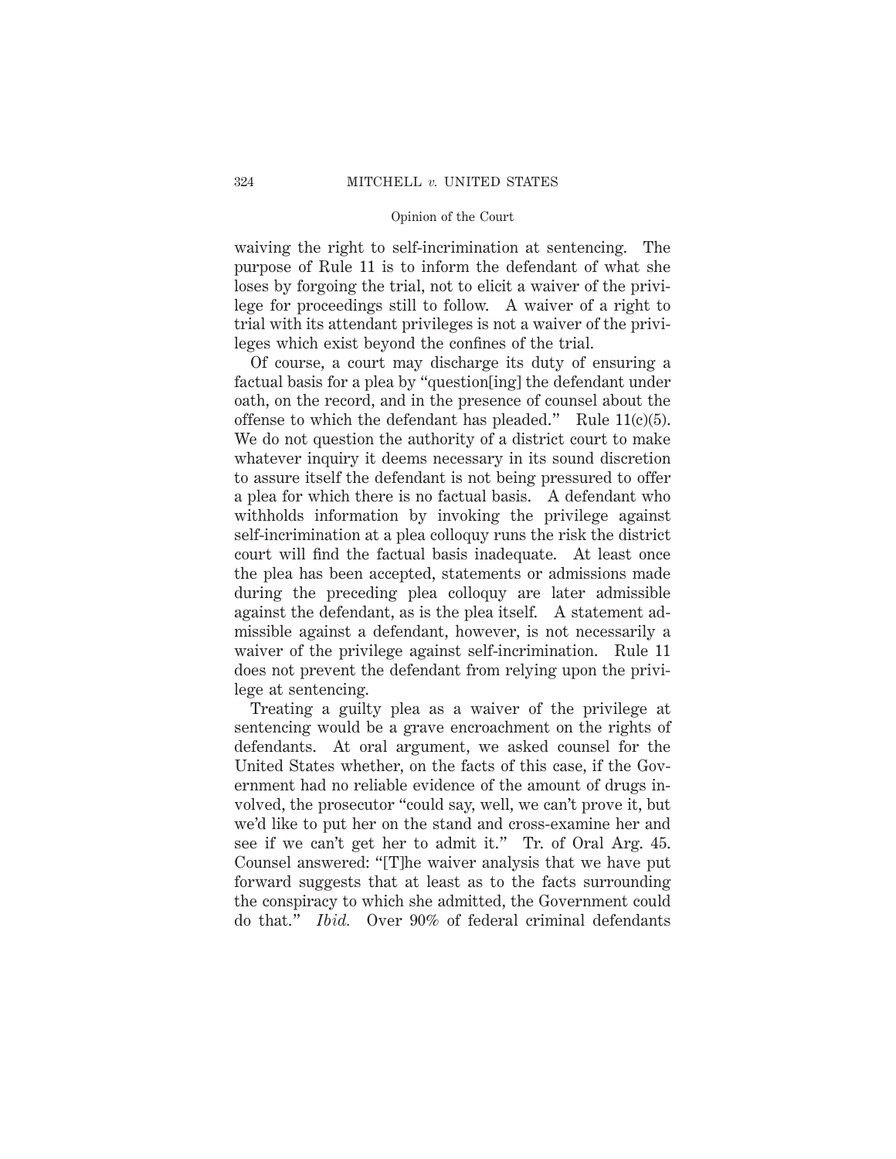waiving the right to self-incrimination at sentencing. The purpose of Rule 11 is to inform the defendant of what she loses by forgoing the trial, not to elicit a waiver of the privilege for proceedings still to follow. A waiver of a right to trial with its attendant privileges is not a waiver of the privileges which exist beyond the confines of the trial.

Of course, a court may discharge its duty of ensuring a factual basis for a plea by "question[ing] the defendant under oath, on the record, and in the presence of counsel about the offense to which the defendant has pleaded." Rule 11(c)(5). We do not question the authority of a district court to make whatever inquiry it deems necessary in its sound discretion to assure itself the defendant is not being pressured to offer a plea for which there is no factual basis. A defendant who withholds information by invoking the privilege against self-incrimination at a plea colloquy runs the risk the district court will find the factual basis inadequate. At least once the plea has been accepted, statements or admissions made during the preceding plea colloquy are later admissible against the defendant, as is the plea itself. A statement admissible against a defendant, however, is not necessarily a waiver of the privilege against self-incrimination. Rule 11 does not prevent the defendant from relying upon the privilege at sentencing.

Treating a guilty plea as a waiver of the privilege at sentencing would be a grave encroachment on the rights of defendants. At oral argument, we asked counsel for the United States whether, on the facts of this case, if the Government had no reliable evidence of the amount of drugs involved, the prosecutor "could say, well, we can't prove it, but we'd like to put her on the stand and cross-examine her and see if we can't get her to admit it." Tr. of Oral Arg. 45. Counsel answered: "[T]he waiver analysis that we have put forward suggests that at least as to the facts surrounding the conspiracy to which she admitted, the Government could do that." *Ibid.* Over 90% of federal criminal defendants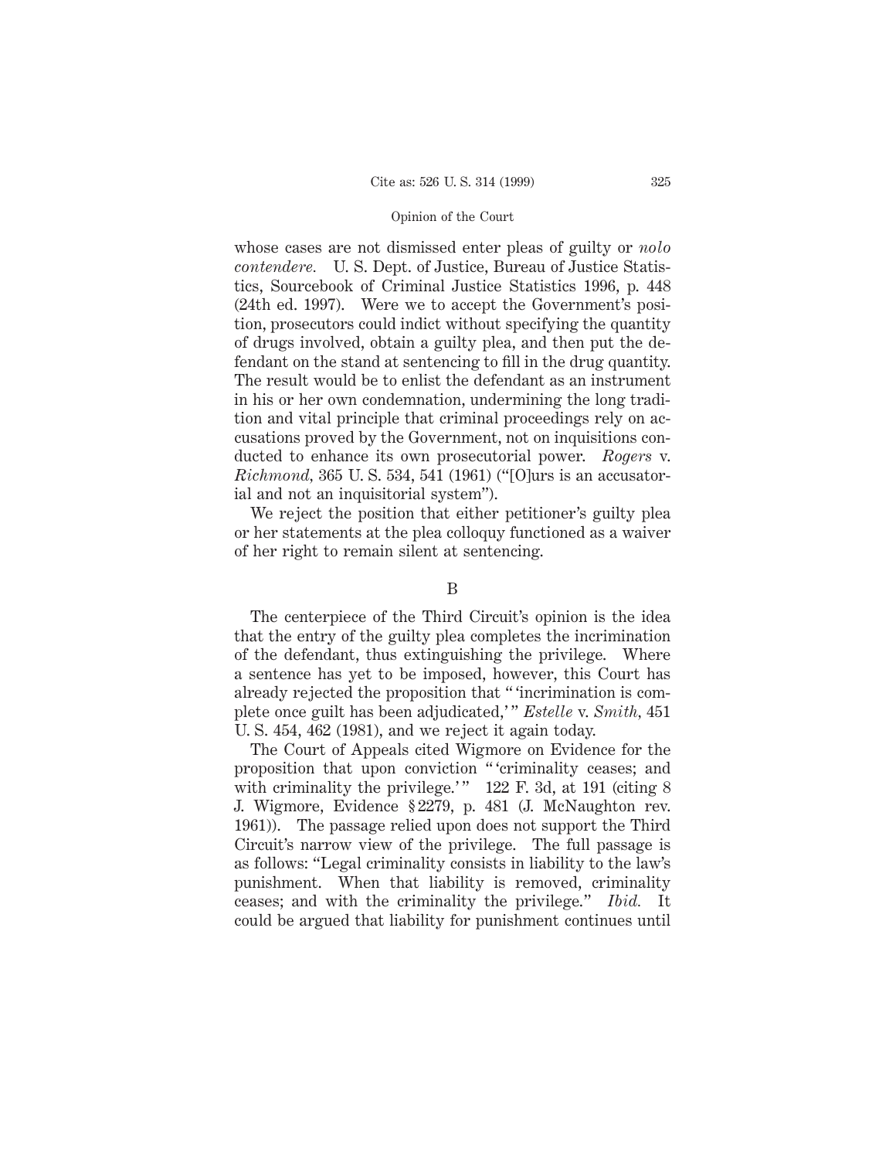whose cases are not dismissed enter pleas of guilty or *nolo contendere.* U. S. Dept. of Justice, Bureau of Justice Statistics, Sourcebook of Criminal Justice Statistics 1996, p. 448 (24th ed. 1997). Were we to accept the Government's position, prosecutors could indict without specifying the quantity of drugs involved, obtain a guilty plea, and then put the defendant on the stand at sentencing to fill in the drug quantity. The result would be to enlist the defendant as an instrument in his or her own condemnation, undermining the long tradition and vital principle that criminal proceedings rely on accusations proved by the Government, not on inquisitions conducted to enhance its own prosecutorial power. *Rogers* v. *Richmond,* 365 U. S. 534, 541 (1961) ("[O]urs is an accusatorial and not an inquisitorial system").

We reject the position that either petitioner's guilty plea or her statements at the plea colloquy functioned as a waiver of her right to remain silent at sentencing.

# B

The centerpiece of the Third Circuit's opinion is the idea that the entry of the guilty plea completes the incrimination of the defendant, thus extinguishing the privilege. Where a sentence has yet to be imposed, however, this Court has already rejected the proposition that " 'incrimination is complete once guilt has been adjudicated,' " *Estelle* v. *Smith,* 451 U. S. 454, 462 (1981), and we reject it again today.

The Court of Appeals cited Wigmore on Evidence for the proposition that upon conviction " 'criminality ceases; and with criminality the privilege.'"  $122$  F. 3d, at 191 (citing 8 J. Wigmore, Evidence § 2279, p. 481 (J. McNaughton rev. 1961)). The passage relied upon does not support the Third Circuit's narrow view of the privilege. The full passage is as follows: "Legal criminality consists in liability to the law's punishment. When that liability is removed, criminality ceases; and with the criminality the privilege." *Ibid.* It could be argued that liability for punishment continues until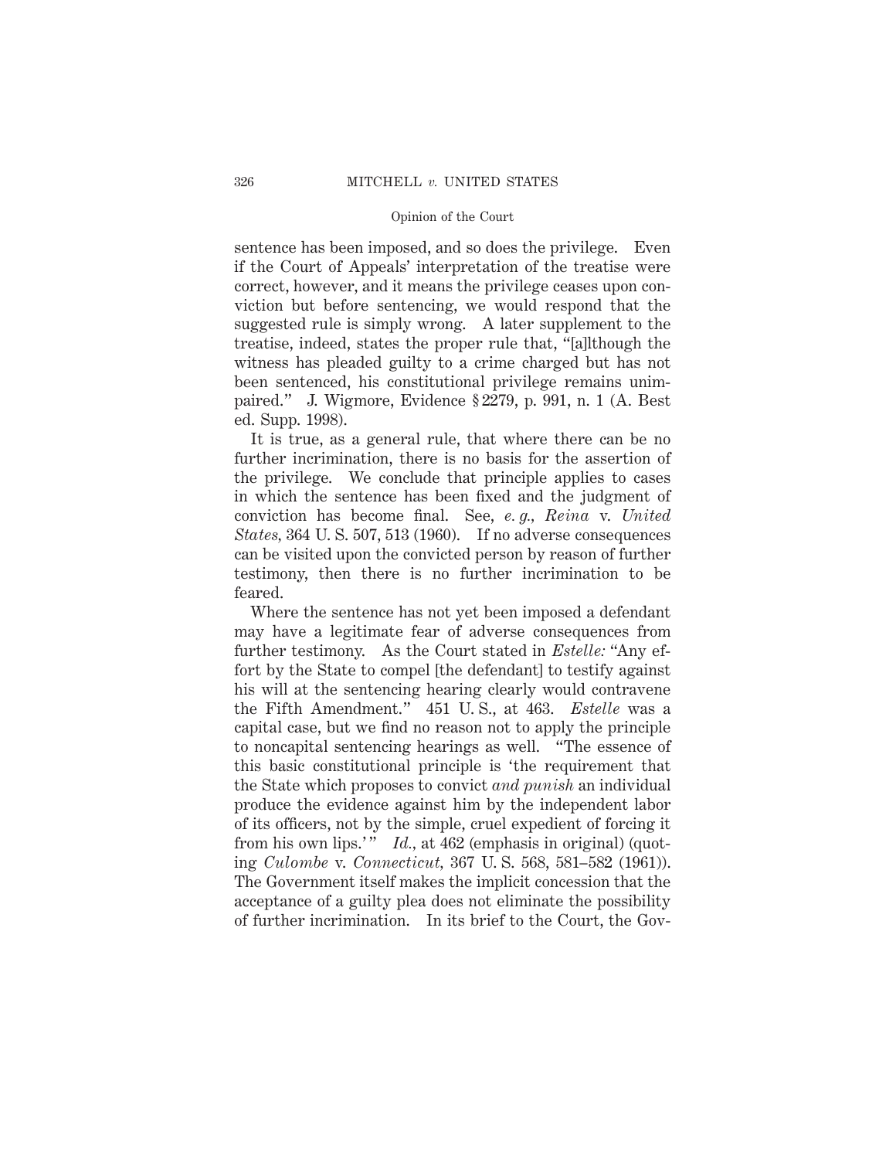sentence has been imposed, and so does the privilege. Even if the Court of Appeals' interpretation of the treatise were correct, however, and it means the privilege ceases upon conviction but before sentencing, we would respond that the suggested rule is simply wrong. A later supplement to the treatise, indeed, states the proper rule that, "[a]lthough the witness has pleaded guilty to a crime charged but has not been sentenced, his constitutional privilege remains unimpaired." J. Wigmore, Evidence § 2279, p. 991, n. 1 (A. Best ed. Supp. 1998).

It is true, as a general rule, that where there can be no further incrimination, there is no basis for the assertion of the privilege. We conclude that principle applies to cases in which the sentence has been fixed and the judgment of conviction has become final. See, *e. g., Reina* v. *United States,* 364 U. S. 507, 513 (1960). If no adverse consequences can be visited upon the convicted person by reason of further testimony, then there is no further incrimination to be feared.

Where the sentence has not yet been imposed a defendant may have a legitimate fear of adverse consequences from further testimony. As the Court stated in *Estelle:* "Any effort by the State to compel [the defendant] to testify against his will at the sentencing hearing clearly would contravene the Fifth Amendment." 451 U. S., at 463. *Estelle* was a capital case, but we find no reason not to apply the principle to noncapital sentencing hearings as well. "The essence of this basic constitutional principle is 'the requirement that the State which proposes to convict *and punish* an individual produce the evidence against him by the independent labor of its officers, not by the simple, cruel expedient of forcing it from his own lips.'" *Id.*, at 462 (emphasis in original) (quoting *Culombe* v. *Connecticut,* 367 U. S. 568, 581–582 (1961)). The Government itself makes the implicit concession that the acceptance of a guilty plea does not eliminate the possibility of further incrimination. In its brief to the Court, the Gov-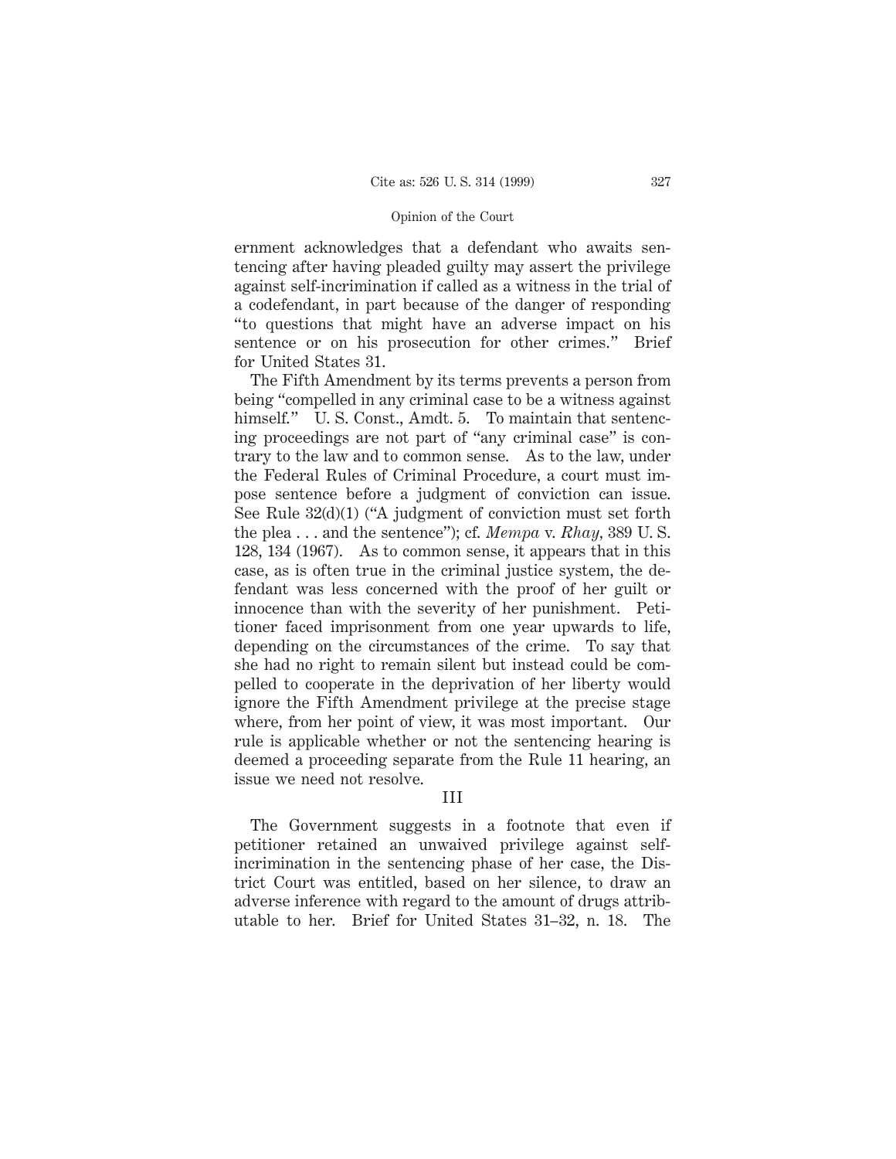ernment acknowledges that a defendant who awaits sentencing after having pleaded guilty may assert the privilege against self-incrimination if called as a witness in the trial of a codefendant, in part because of the danger of responding "to questions that might have an adverse impact on his sentence or on his prosecution for other crimes." Brief for United States 31.

The Fifth Amendment by its terms prevents a person from being "compelled in any criminal case to be a witness against himself." U. S. Const., Amdt. 5. To maintain that sentencing proceedings are not part of "any criminal case" is contrary to the law and to common sense. As to the law, under the Federal Rules of Criminal Procedure, a court must impose sentence before a judgment of conviction can issue. See Rule 32(d)(1) ("A judgment of conviction must set forth the plea . . . and the sentence"); cf. *Mempa* v. *Rhay,* 389 U. S. 128, 134 (1967). As to common sense, it appears that in this case, as is often true in the criminal justice system, the defendant was less concerned with the proof of her guilt or innocence than with the severity of her punishment. Petitioner faced imprisonment from one year upwards to life, depending on the circumstances of the crime. To say that she had no right to remain silent but instead could be compelled to cooperate in the deprivation of her liberty would ignore the Fifth Amendment privilege at the precise stage where, from her point of view, it was most important. Our rule is applicable whether or not the sentencing hearing is deemed a proceeding separate from the Rule 11 hearing, an issue we need not resolve.

### III

The Government suggests in a footnote that even if petitioner retained an unwaived privilege against selfincrimination in the sentencing phase of her case, the District Court was entitled, based on her silence, to draw an adverse inference with regard to the amount of drugs attributable to her. Brief for United States 31–32, n. 18. The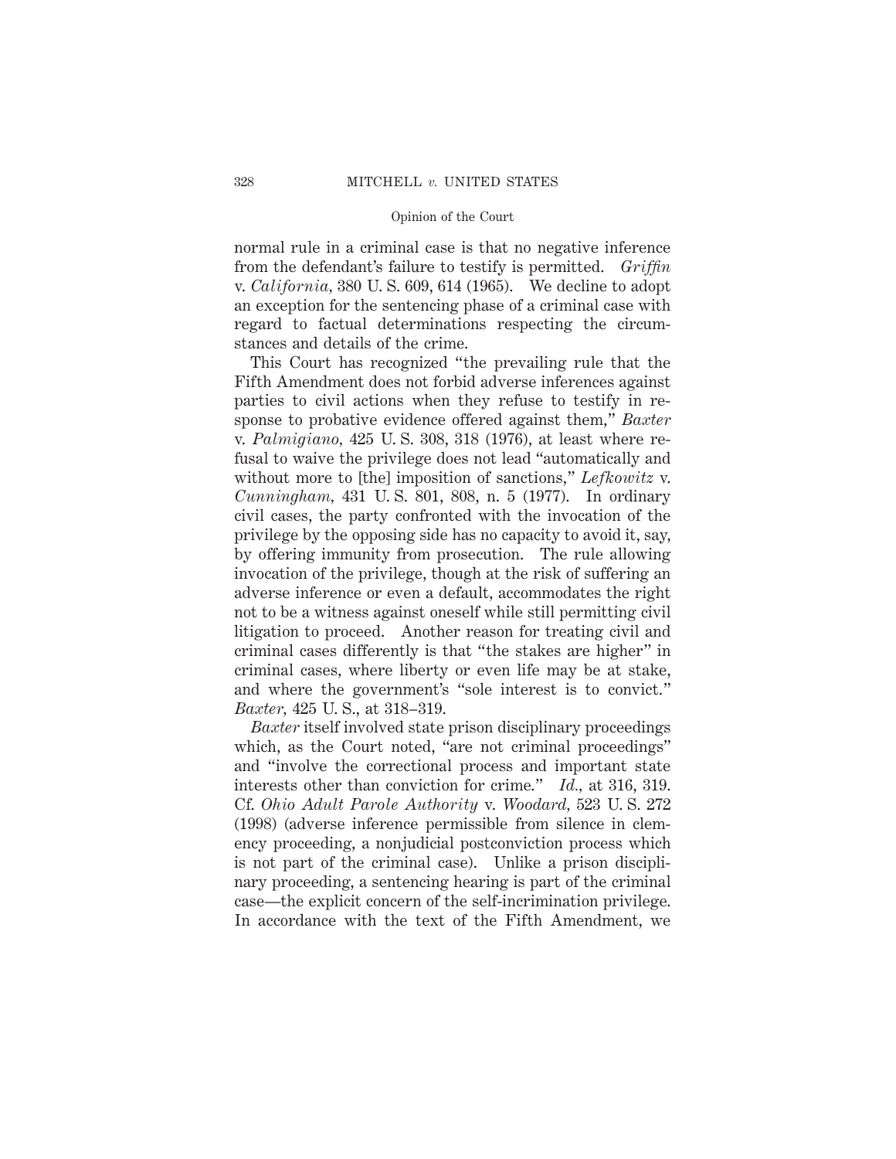normal rule in a criminal case is that no negative inference from the defendant's failure to testify is permitted. *Griffin* v. *California,* 380 U. S. 609, 614 (1965). We decline to adopt an exception for the sentencing phase of a criminal case with regard to factual determinations respecting the circumstances and details of the crime.

This Court has recognized "the prevailing rule that the Fifth Amendment does not forbid adverse inferences against parties to civil actions when they refuse to testify in response to probative evidence offered against them," *Baxter* v. *Palmigiano,* 425 U. S. 308, 318 (1976), at least where refusal to waive the privilege does not lead "automatically and without more to [the] imposition of sanctions," *Lefkowitz* v. *Cunningham,* 431 U. S. 801, 808, n. 5 (1977). In ordinary civil cases, the party confronted with the invocation of the privilege by the opposing side has no capacity to avoid it, say, by offering immunity from prosecution. The rule allowing invocation of the privilege, though at the risk of suffering an adverse inference or even a default, accommodates the right not to be a witness against oneself while still permitting civil litigation to proceed. Another reason for treating civil and criminal cases differently is that "the stakes are higher" in criminal cases, where liberty or even life may be at stake, and where the government's "sole interest is to convict." *Baxter,* 425 U. S., at 318–319.

*Baxter* itself involved state prison disciplinary proceedings which, as the Court noted, "are not criminal proceedings" and "involve the correctional process and important state interests other than conviction for crime." *Id.,* at 316, 319. Cf. *Ohio Adult Parole Authority* v. *Woodard,* 523 U. S. 272 (1998) (adverse inference permissible from silence in clemency proceeding, a nonjudicial postconviction process which is not part of the criminal case). Unlike a prison disciplinary proceeding, a sentencing hearing is part of the criminal case—the explicit concern of the self-incrimination privilege. In accordance with the text of the Fifth Amendment, we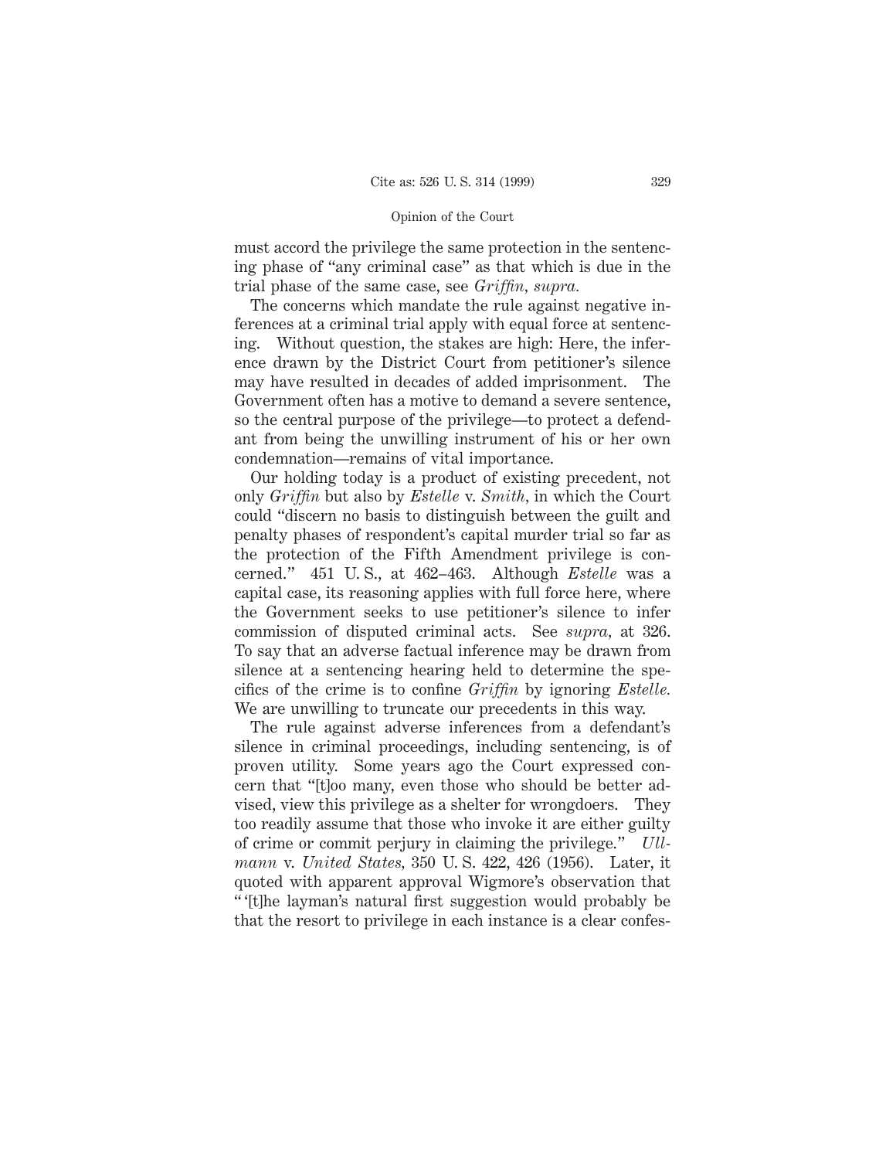must accord the privilege the same protection in the sentencing phase of "any criminal case" as that which is due in the trial phase of the same case, see *Griffin, supra.*

The concerns which mandate the rule against negative inferences at a criminal trial apply with equal force at sentencing. Without question, the stakes are high: Here, the inference drawn by the District Court from petitioner's silence may have resulted in decades of added imprisonment. The Government often has a motive to demand a severe sentence, so the central purpose of the privilege—to protect a defendant from being the unwilling instrument of his or her own condemnation—remains of vital importance.

Our holding today is a product of existing precedent, not only *Griffin* but also by *Estelle* v. *Smith,* in which the Court could "discern no basis to distinguish between the guilt and penalty phases of respondent's capital murder trial so far as the protection of the Fifth Amendment privilege is concerned." 451 U. S., at 462–463. Although *Estelle* was a capital case, its reasoning applies with full force here, where the Government seeks to use petitioner's silence to infer commission of disputed criminal acts. See *supra,* at 326. To say that an adverse factual inference may be drawn from silence at a sentencing hearing held to determine the specifics of the crime is to confine *Griffin* by ignoring *Estelle.* We are unwilling to truncate our precedents in this way.

The rule against adverse inferences from a defendant's silence in criminal proceedings, including sentencing, is of proven utility. Some years ago the Court expressed concern that "[t]oo many, even those who should be better advised, view this privilege as a shelter for wrongdoers. They too readily assume that those who invoke it are either guilty of crime or commit perjury in claiming the privilege." *Ullmann* v. *United States,* 350 U. S. 422, 426 (1956). Later, it quoted with apparent approval Wigmore's observation that " '[t]he layman's natural first suggestion would probably be that the resort to privilege in each instance is a clear confes-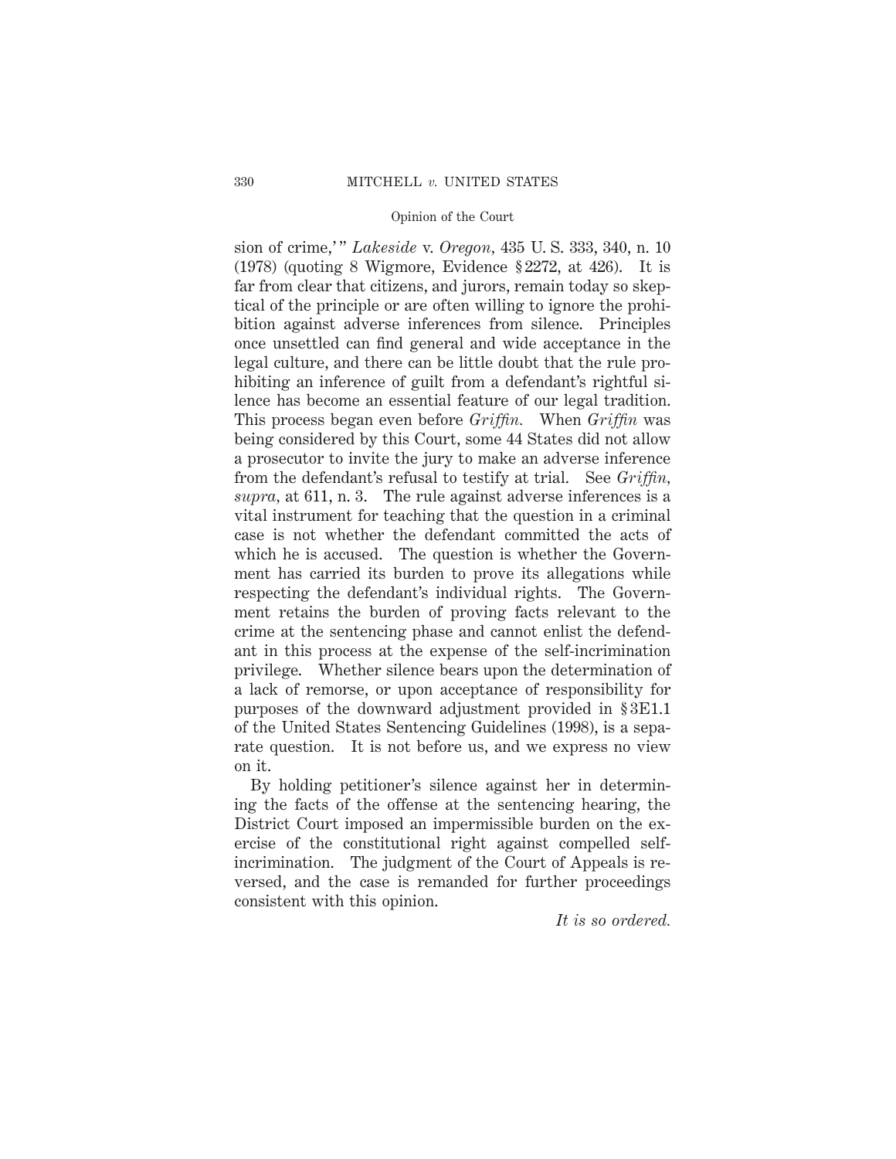sion of crime,' " *Lakeside* v. *Oregon,* 435 U. S. 333, 340, n. 10 (1978) (quoting 8 Wigmore, Evidence § 2272, at 426). It is far from clear that citizens, and jurors, remain today so skeptical of the principle or are often willing to ignore the prohibition against adverse inferences from silence. Principles once unsettled can find general and wide acceptance in the legal culture, and there can be little doubt that the rule prohibiting an inference of guilt from a defendant's rightful silence has become an essential feature of our legal tradition. This process began even before *Griffin.* When *Griffin* was being considered by this Court, some 44 States did not allow a prosecutor to invite the jury to make an adverse inference from the defendant's refusal to testify at trial. See *Griffin, supra,* at 611, n. 3. The rule against adverse inferences is a vital instrument for teaching that the question in a criminal case is not whether the defendant committed the acts of which he is accused. The question is whether the Government has carried its burden to prove its allegations while respecting the defendant's individual rights. The Government retains the burden of proving facts relevant to the crime at the sentencing phase and cannot enlist the defendant in this process at the expense of the self-incrimination privilege. Whether silence bears upon the determination of a lack of remorse, or upon acceptance of responsibility for purposes of the downward adjustment provided in § 3E1.1 of the United States Sentencing Guidelines (1998), is a separate question. It is not before us, and we express no view on it.

By holding petitioner's silence against her in determining the facts of the offense at the sentencing hearing, the District Court imposed an impermissible burden on the exercise of the constitutional right against compelled selfincrimination. The judgment of the Court of Appeals is reversed, and the case is remanded for further proceedings consistent with this opinion.

*It is so ordered.*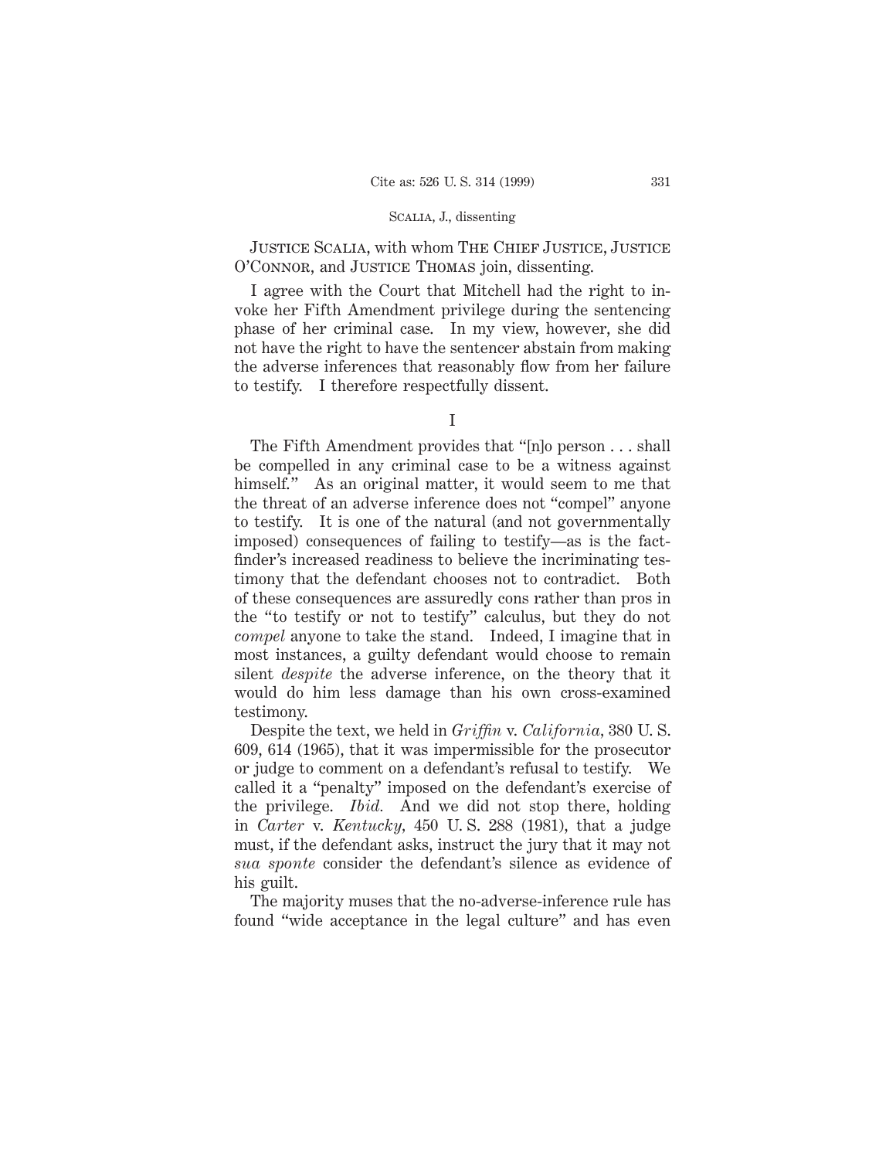JUSTICE SCALIA, with whom THE CHIEF JUSTICE, JUSTICE O'Connor, and Justice Thomas join, dissenting.

I agree with the Court that Mitchell had the right to invoke her Fifth Amendment privilege during the sentencing phase of her criminal case. In my view, however, she did not have the right to have the sentencer abstain from making the adverse inferences that reasonably flow from her failure to testify. I therefore respectfully dissent.

The Fifth Amendment provides that "[n]o person . . . shall be compelled in any criminal case to be a witness against himself." As an original matter, it would seem to me that the threat of an adverse inference does not "compel" anyone to testify. It is one of the natural (and not governmentally imposed) consequences of failing to testify—as is the factfinder's increased readiness to believe the incriminating testimony that the defendant chooses not to contradict. Both of these consequences are assuredly cons rather than pros in the "to testify or not to testify" calculus, but they do not *compel* anyone to take the stand. Indeed, I imagine that in most instances, a guilty defendant would choose to remain silent *despite* the adverse inference, on the theory that it would do him less damage than his own cross-examined testimony.

Despite the text, we held in *Griffin* v. *California,* 380 U. S. 609, 614 (1965), that it was impermissible for the prosecutor or judge to comment on a defendant's refusal to testify. We called it a "penalty" imposed on the defendant's exercise of the privilege. *Ibid.* And we did not stop there, holding in *Carter* v. *Kentucky,* 450 U. S. 288 (1981), that a judge must, if the defendant asks, instruct the jury that it may not *sua sponte* consider the defendant's silence as evidence of his guilt.

The majority muses that the no-adverse-inference rule has found "wide acceptance in the legal culture" and has even

I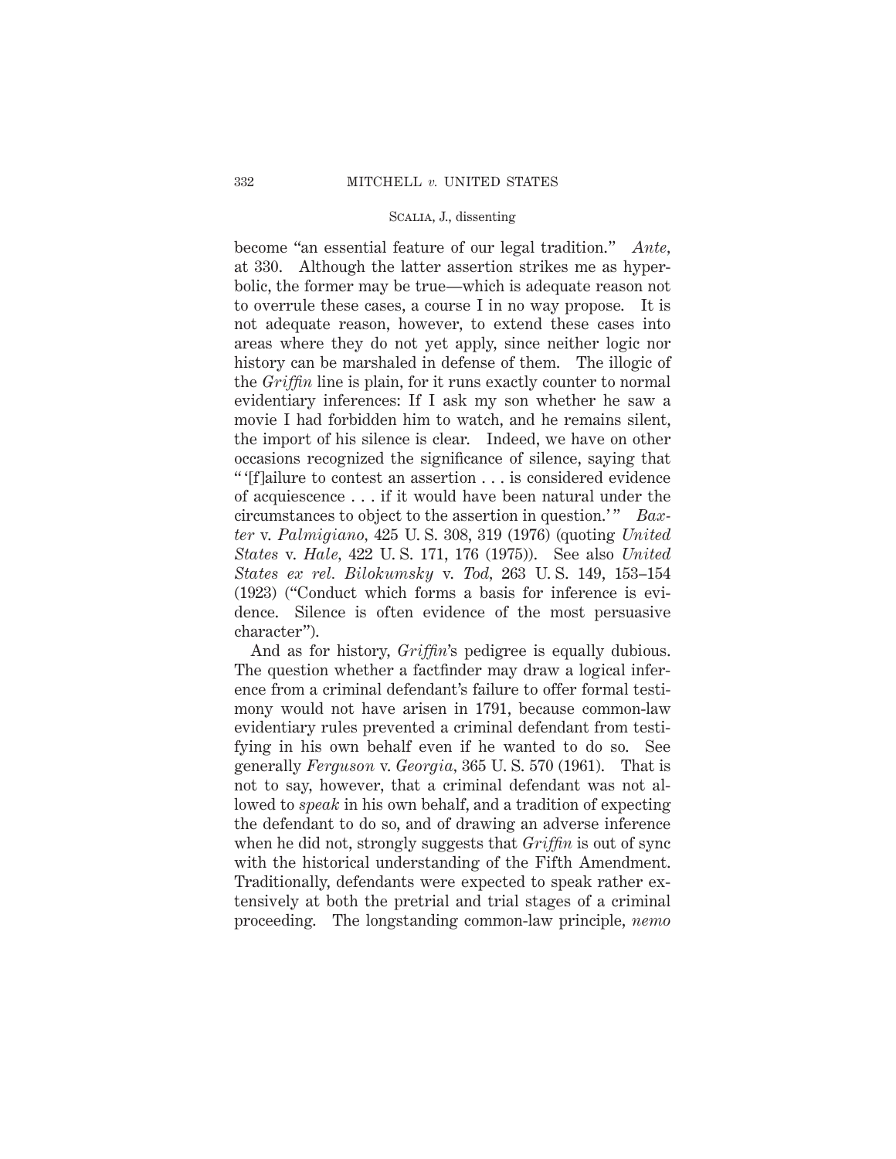become "an essential feature of our legal tradition." *Ante,* at 330. Although the latter assertion strikes me as hyperbolic, the former may be true—which is adequate reason not to overrule these cases, a course I in no way propose. It is not adequate reason, however, to extend these cases into areas where they do not yet apply, since neither logic nor history can be marshaled in defense of them. The illogic of the *Griffin* line is plain, for it runs exactly counter to normal evidentiary inferences: If I ask my son whether he saw a movie I had forbidden him to watch, and he remains silent, the import of his silence is clear. Indeed, we have on other occasions recognized the significance of silence, saying that " '[f]ailure to contest an assertion . . . is considered evidence of acquiescence . . . if it would have been natural under the circumstances to object to the assertion in question.'" *Baxter* v. *Palmigiano,* 425 U. S. 308, 319 (1976) (quoting *United States* v. *Hale,* 422 U. S. 171, 176 (1975)). See also *United States ex rel. Bilokumsky* v. *Tod,* 263 U. S. 149, 153–154 (1923) ("Conduct which forms a basis for inference is evidence. Silence is often evidence of the most persuasive character").

And as for history, *Griffin*'s pedigree is equally dubious. The question whether a factfinder may draw a logical inference from a criminal defendant's failure to offer formal testimony would not have arisen in 1791, because common-law evidentiary rules prevented a criminal defendant from testifying in his own behalf even if he wanted to do so. See generally *Ferguson* v. *Georgia,* 365 U. S. 570 (1961). That is not to say, however, that a criminal defendant was not allowed to *speak* in his own behalf, and a tradition of expecting the defendant to do so, and of drawing an adverse inference when he did not, strongly suggests that *Griffin* is out of sync with the historical understanding of the Fifth Amendment. Traditionally, defendants were expected to speak rather extensively at both the pretrial and trial stages of a criminal proceeding. The longstanding common-law principle, *nemo*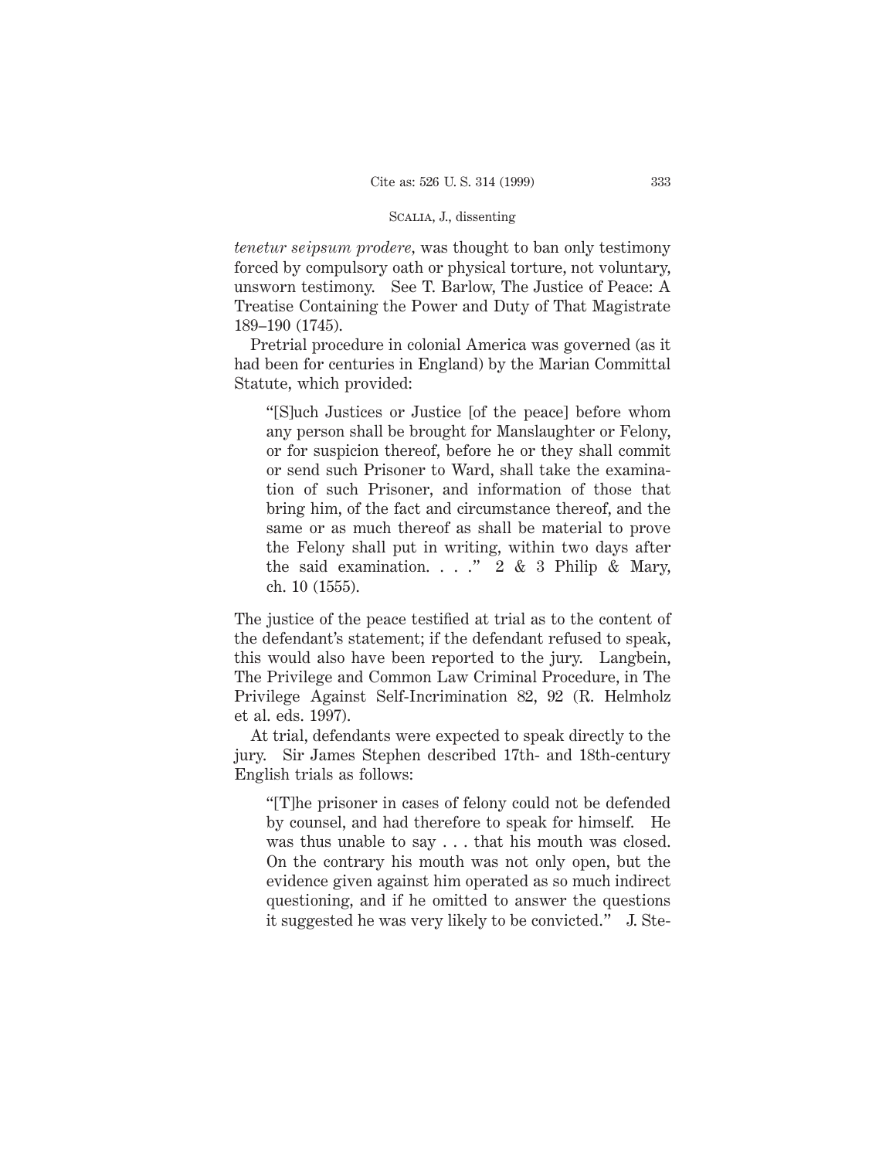*tenetur seipsum prodere,* was thought to ban only testimony forced by compulsory oath or physical torture, not voluntary, unsworn testimony. See T. Barlow, The Justice of Peace: A Treatise Containing the Power and Duty of That Magistrate 189–190 (1745).

Pretrial procedure in colonial America was governed (as it had been for centuries in England) by the Marian Committal Statute, which provided:

"[S]uch Justices or Justice [of the peace] before whom any person shall be brought for Manslaughter or Felony, or for suspicion thereof, before he or they shall commit or send such Prisoner to Ward, shall take the examination of such Prisoner, and information of those that bring him, of the fact and circumstance thereof, and the same or as much thereof as shall be material to prove the Felony shall put in writing, within two days after the said examination. . . . "  $2 \& 3$  Philip & Mary, ch. 10 (1555).

The justice of the peace testified at trial as to the content of the defendant's statement; if the defendant refused to speak, this would also have been reported to the jury. Langbein, The Privilege and Common Law Criminal Procedure, in The Privilege Against Self-Incrimination 82, 92 (R. Helmholz et al. eds. 1997).

At trial, defendants were expected to speak directly to the jury. Sir James Stephen described 17th- and 18th-century English trials as follows:

"[T]he prisoner in cases of felony could not be defended by counsel, and had therefore to speak for himself. He was thus unable to say . . . that his mouth was closed. On the contrary his mouth was not only open, but the evidence given against him operated as so much indirect questioning, and if he omitted to answer the questions it suggested he was very likely to be convicted." J. Ste-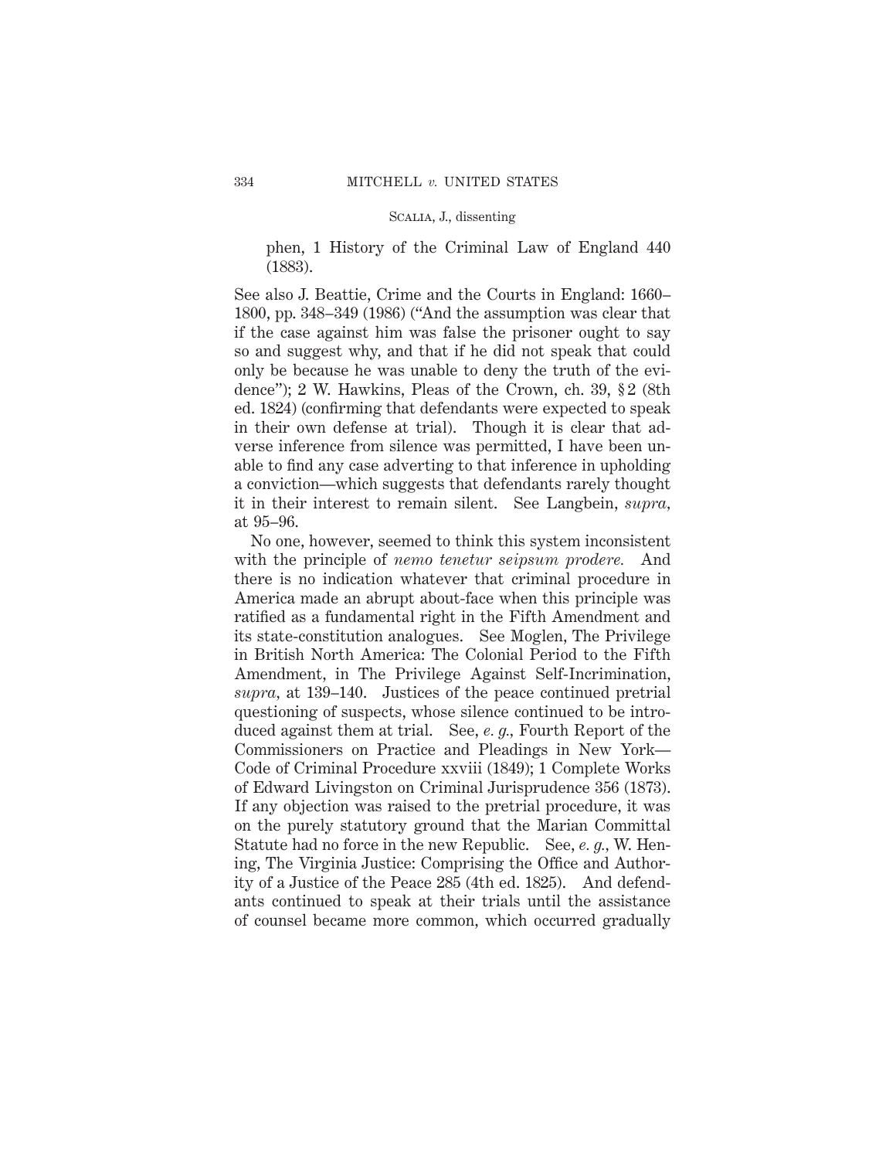phen, 1 History of the Criminal Law of England 440 (1883).

See also J. Beattie, Crime and the Courts in England: 1660– 1800, pp. 348–349 (1986) ("And the assumption was clear that if the case against him was false the prisoner ought to say so and suggest why, and that if he did not speak that could only be because he was unable to deny the truth of the evidence"); 2 W. Hawkins, Pleas of the Crown, ch. 39, § 2 (8th ed. 1824) (confirming that defendants were expected to speak in their own defense at trial). Though it is clear that adverse inference from silence was permitted, I have been unable to find any case adverting to that inference in upholding a conviction—which suggests that defendants rarely thought it in their interest to remain silent. See Langbein, *supra,* at 95–96.

No one, however, seemed to think this system inconsistent with the principle of *nemo tenetur seipsum prodere.* And there is no indication whatever that criminal procedure in America made an abrupt about-face when this principle was ratified as a fundamental right in the Fifth Amendment and its state-constitution analogues. See Moglen, The Privilege in British North America: The Colonial Period to the Fifth Amendment, in The Privilege Against Self-Incrimination, *supra,* at 139–140. Justices of the peace continued pretrial questioning of suspects, whose silence continued to be introduced against them at trial. See, *e. g.,* Fourth Report of the Commissioners on Practice and Pleadings in New York— Code of Criminal Procedure xxviii (1849); 1 Complete Works of Edward Livingston on Criminal Jurisprudence 356 (1873). If any objection was raised to the pretrial procedure, it was on the purely statutory ground that the Marian Committal Statute had no force in the new Republic. See, *e. g.,* W. Hening, The Virginia Justice: Comprising the Office and Authority of a Justice of the Peace 285 (4th ed. 1825). And defendants continued to speak at their trials until the assistance of counsel became more common, which occurred gradually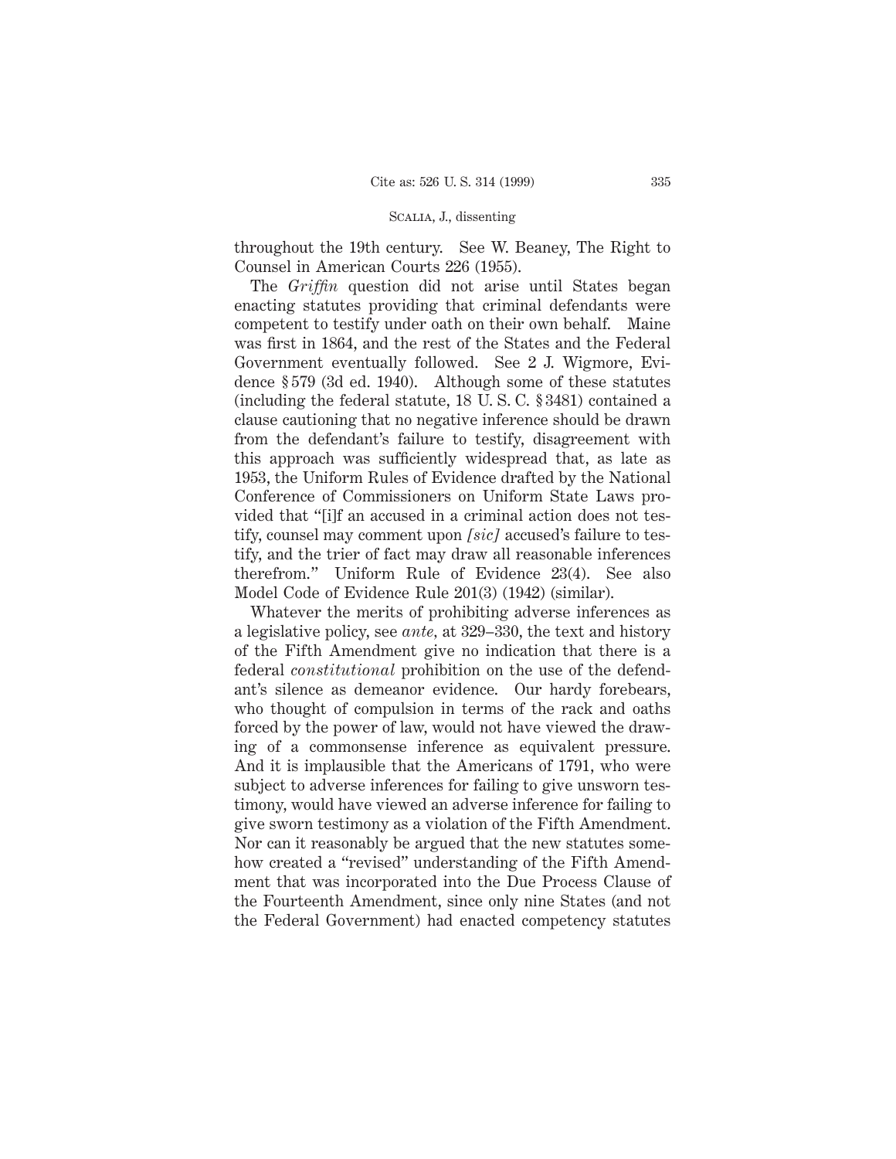throughout the 19th century. See W. Beaney, The Right to Counsel in American Courts 226 (1955).

The *Griffin* question did not arise until States began enacting statutes providing that criminal defendants were competent to testify under oath on their own behalf. Maine was first in 1864, and the rest of the States and the Federal Government eventually followed. See 2 J. Wigmore, Evidence § 579 (3d ed. 1940). Although some of these statutes (including the federal statute, 18 U. S. C. § 3481) contained a clause cautioning that no negative inference should be drawn from the defendant's failure to testify, disagreement with this approach was sufficiently widespread that, as late as 1953, the Uniform Rules of Evidence drafted by the National Conference of Commissioners on Uniform State Laws provided that "[i]f an accused in a criminal action does not testify, counsel may comment upon *[sic]* accused's failure to testify, and the trier of fact may draw all reasonable inferences therefrom." Uniform Rule of Evidence 23(4). See also Model Code of Evidence Rule 201(3) (1942) (similar).

Whatever the merits of prohibiting adverse inferences as a legislative policy, see *ante,* at 329–330, the text and history of the Fifth Amendment give no indication that there is a federal *constitutional* prohibition on the use of the defendant's silence as demeanor evidence. Our hardy forebears, who thought of compulsion in terms of the rack and oaths forced by the power of law, would not have viewed the drawing of a commonsense inference as equivalent pressure. And it is implausible that the Americans of 1791, who were subject to adverse inferences for failing to give unsworn testimony, would have viewed an adverse inference for failing to give sworn testimony as a violation of the Fifth Amendment. Nor can it reasonably be argued that the new statutes somehow created a "revised" understanding of the Fifth Amendment that was incorporated into the Due Process Clause of the Fourteenth Amendment, since only nine States (and not the Federal Government) had enacted competency statutes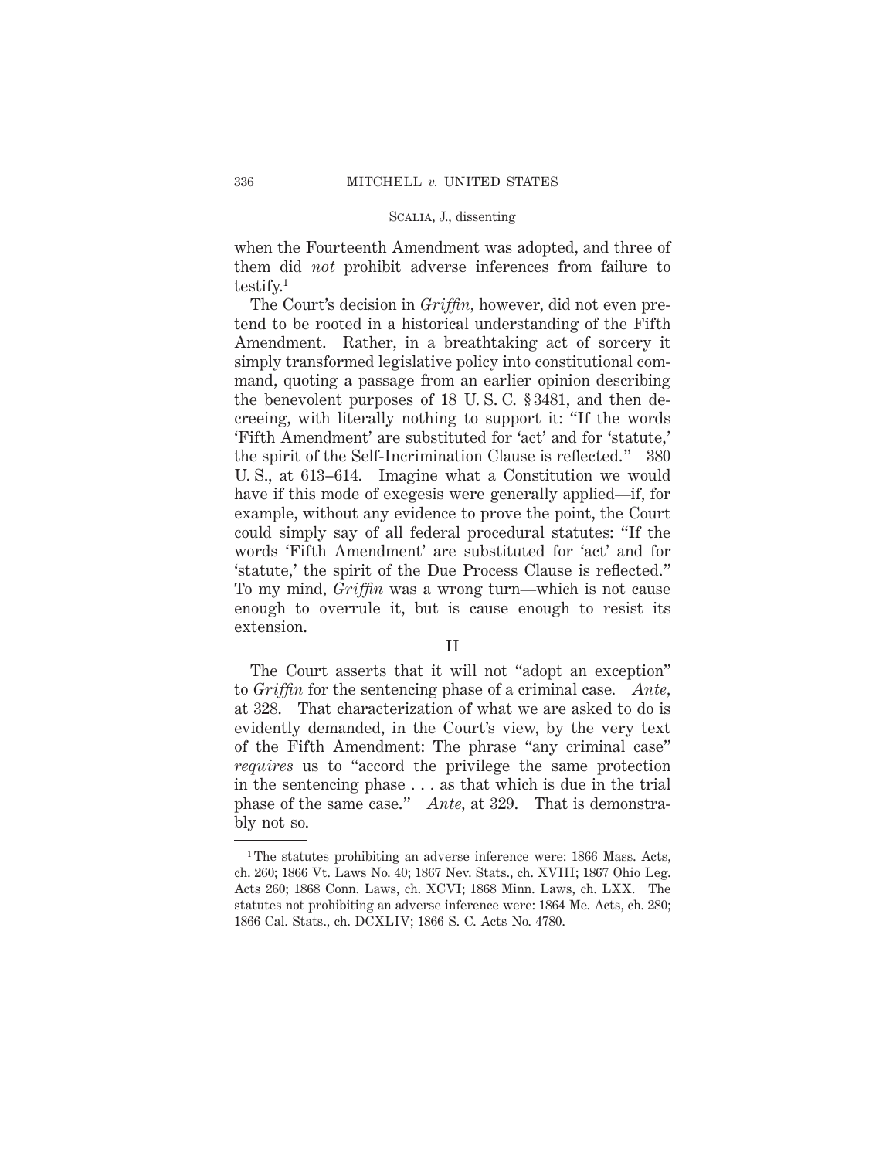when the Fourteenth Amendment was adopted, and three of them did *not* prohibit adverse inferences from failure to testify.1

The Court's decision in *Griffin,* however, did not even pretend to be rooted in a historical understanding of the Fifth Amendment. Rather, in a breathtaking act of sorcery it simply transformed legislative policy into constitutional command, quoting a passage from an earlier opinion describing the benevolent purposes of 18 U. S. C. § 3481, and then decreeing, with literally nothing to support it: "If the words 'Fifth Amendment' are substituted for 'act' and for 'statute,' the spirit of the Self-Incrimination Clause is reflected." 380 U. S., at 613–614. Imagine what a Constitution we would have if this mode of exegesis were generally applied—if, for example, without any evidence to prove the point, the Court could simply say of all federal procedural statutes: "If the words 'Fifth Amendment' are substituted for 'act' and for 'statute,' the spirit of the Due Process Clause is reflected." To my mind, *Griffin* was a wrong turn—which is not cause enough to overrule it, but is cause enough to resist its extension.

### II

The Court asserts that it will not "adopt an exception" to *Griffin* for the sentencing phase of a criminal case. *Ante,* at 328. That characterization of what we are asked to do is evidently demanded, in the Court's view, by the very text of the Fifth Amendment: The phrase "any criminal case" *requires* us to "accord the privilege the same protection in the sentencing phase . . . as that which is due in the trial phase of the same case." *Ante,* at 329. That is demonstrably not so.

<sup>&</sup>lt;sup>1</sup>The statutes prohibiting an adverse inference were: 1866 Mass. Acts, ch. 260; 1866 Vt. Laws No. 40; 1867 Nev. Stats., ch. XVIII; 1867 Ohio Leg. Acts 260; 1868 Conn. Laws, ch. XCVI; 1868 Minn. Laws, ch. LXX. The statutes not prohibiting an adverse inference were: 1864 Me. Acts, ch. 280; 1866 Cal. Stats., ch. DCXLIV; 1866 S. C. Acts No. 4780.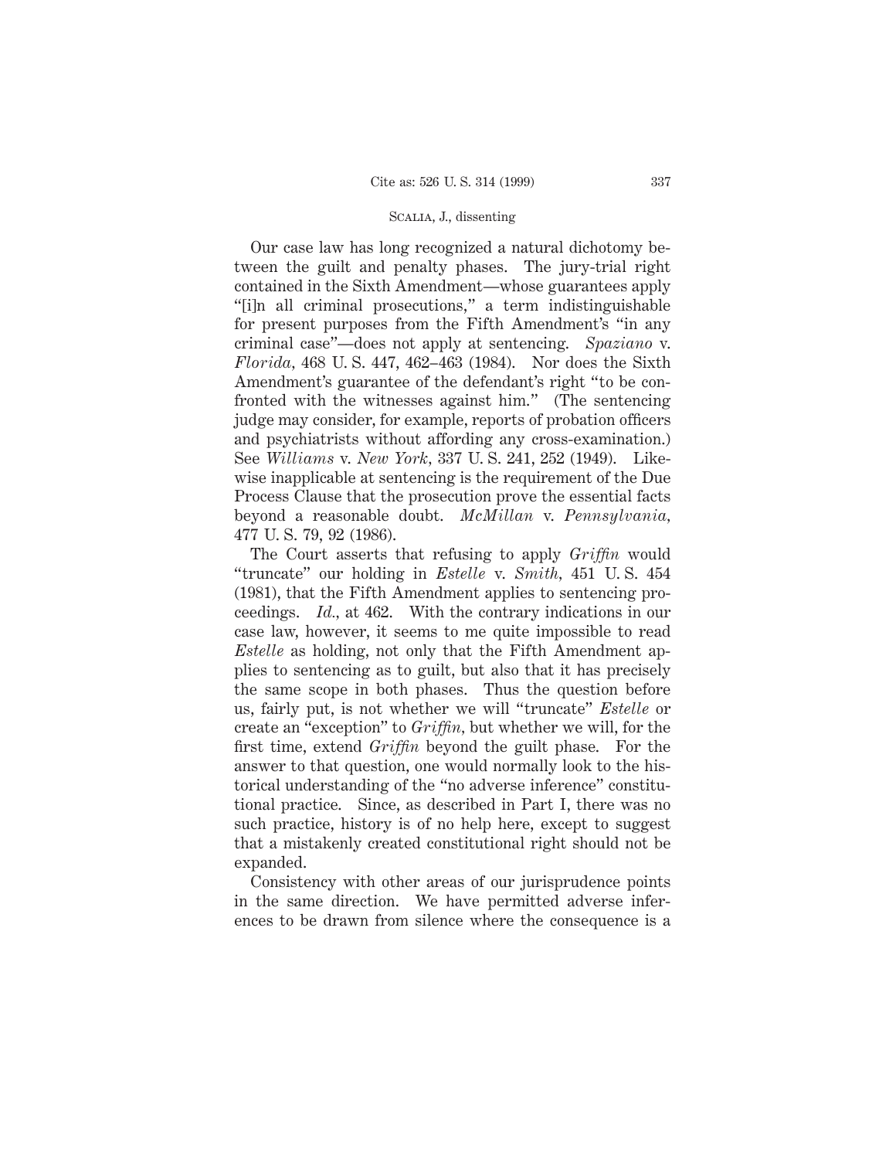Our case law has long recognized a natural dichotomy between the guilt and penalty phases. The jury-trial right contained in the Sixth Amendment—whose guarantees apply "[i]n all criminal prosecutions," a term indistinguishable for present purposes from the Fifth Amendment's "in any criminal case"—does not apply at sentencing. *Spaziano* v. *Florida,* 468 U. S. 447, 462–463 (1984). Nor does the Sixth Amendment's guarantee of the defendant's right "to be confronted with the witnesses against him." (The sentencing judge may consider, for example, reports of probation officers and psychiatrists without affording any cross-examination.) See *Williams* v. *New York,* 337 U. S. 241, 252 (1949). Likewise inapplicable at sentencing is the requirement of the Due Process Clause that the prosecution prove the essential facts beyond a reasonable doubt. *McMillan* v. *Pennsylvania,* 477 U. S. 79, 92 (1986).

The Court asserts that refusing to apply *Griffin* would "truncate" our holding in *Estelle* v. *Smith,* 451 U. S. 454 (1981), that the Fifth Amendment applies to sentencing proceedings. *Id.,* at 462. With the contrary indications in our case law, however, it seems to me quite impossible to read *Estelle* as holding, not only that the Fifth Amendment applies to sentencing as to guilt, but also that it has precisely the same scope in both phases. Thus the question before us, fairly put, is not whether we will "truncate" *Estelle* or create an "exception" to *Griffin,* but whether we will, for the first time, extend *Griffin* beyond the guilt phase. For the answer to that question, one would normally look to the historical understanding of the "no adverse inference" constitutional practice. Since, as described in Part I, there was no such practice, history is of no help here, except to suggest that a mistakenly created constitutional right should not be expanded.

Consistency with other areas of our jurisprudence points in the same direction. We have permitted adverse inferences to be drawn from silence where the consequence is a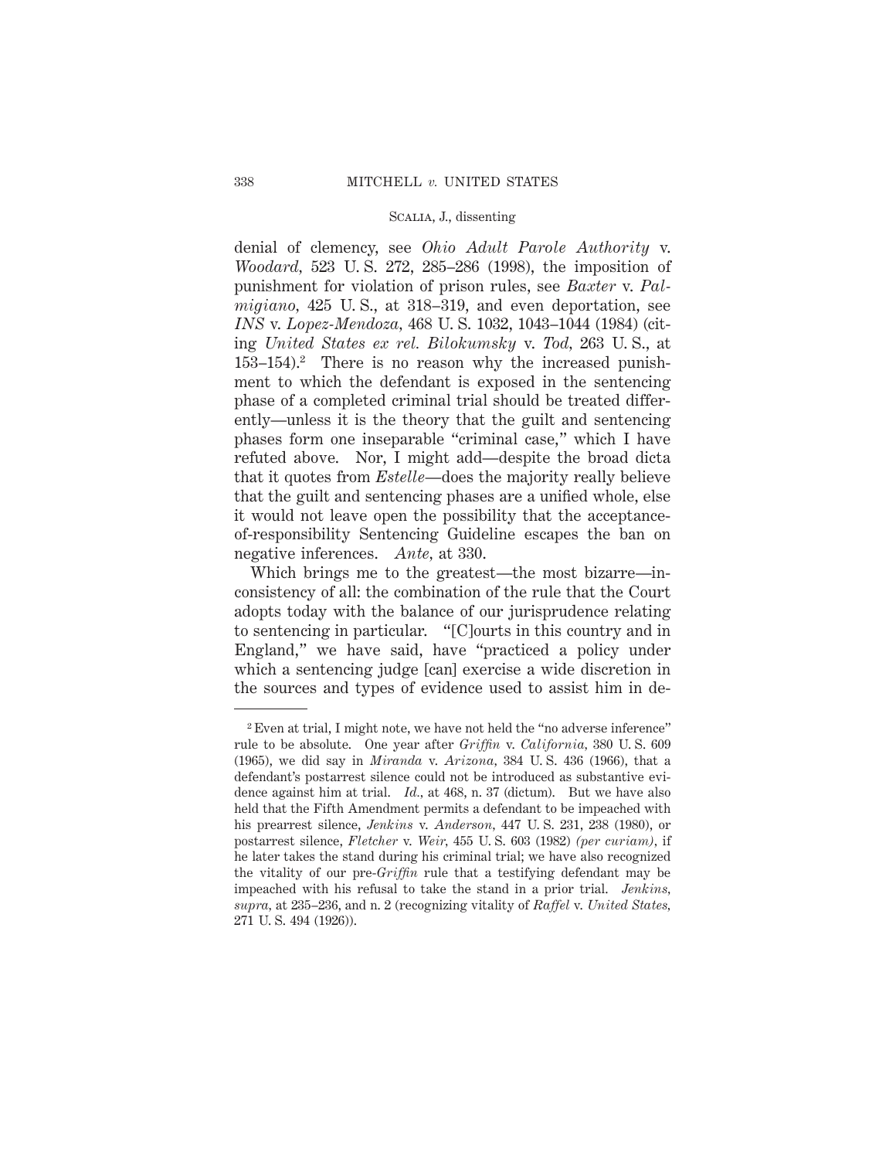denial of clemency, see *Ohio Adult Parole Authority* v. *Woodard,* 523 U. S. 272, 285–286 (1998), the imposition of punishment for violation of prison rules, see *Baxter* v. *Palmigiano,* 425 U. S., at 318–319, and even deportation, see *INS* v. *Lopez-Mendoza,* 468 U. S. 1032, 1043–1044 (1984) (citing *United States ex rel. Bilokumsky* v. *Tod,* 263 U. S., at 153–154).2 There is no reason why the increased punishment to which the defendant is exposed in the sentencing phase of a completed criminal trial should be treated differently—unless it is the theory that the guilt and sentencing phases form one inseparable "criminal case," which I have refuted above. Nor, I might add—despite the broad dicta that it quotes from *Estelle*—does the majority really believe that the guilt and sentencing phases are a unified whole, else it would not leave open the possibility that the acceptanceof-responsibility Sentencing Guideline escapes the ban on negative inferences. *Ante,* at 330.

Which brings me to the greatest—the most bizarre—inconsistency of all: the combination of the rule that the Court adopts today with the balance of our jurisprudence relating to sentencing in particular. "[C]ourts in this country and in England," we have said, have "practiced a policy under which a sentencing judge [can] exercise a wide discretion in the sources and types of evidence used to assist him in de-

<sup>2</sup> Even at trial, I might note, we have not held the "no adverse inference" rule to be absolute. One year after *Griffin* v. *California,* 380 U. S. 609 (1965), we did say in *Miranda* v. *Arizona,* 384 U. S. 436 (1966), that a defendant's postarrest silence could not be introduced as substantive evidence against him at trial. *Id.,* at 468, n. 37 (dictum). But we have also held that the Fifth Amendment permits a defendant to be impeached with his prearrest silence, *Jenkins* v. *Anderson,* 447 U. S. 231, 238 (1980), or postarrest silence, *Fletcher* v. *Weir,* 455 U. S. 603 (1982) *(per curiam),* if he later takes the stand during his criminal trial; we have also recognized the vitality of our pre-*Griffin* rule that a testifying defendant may be impeached with his refusal to take the stand in a prior trial. *Jenkins, supra,* at 235–236, and n. 2 (recognizing vitality of *Raffel* v. *United States,* 271 U. S. 494 (1926)).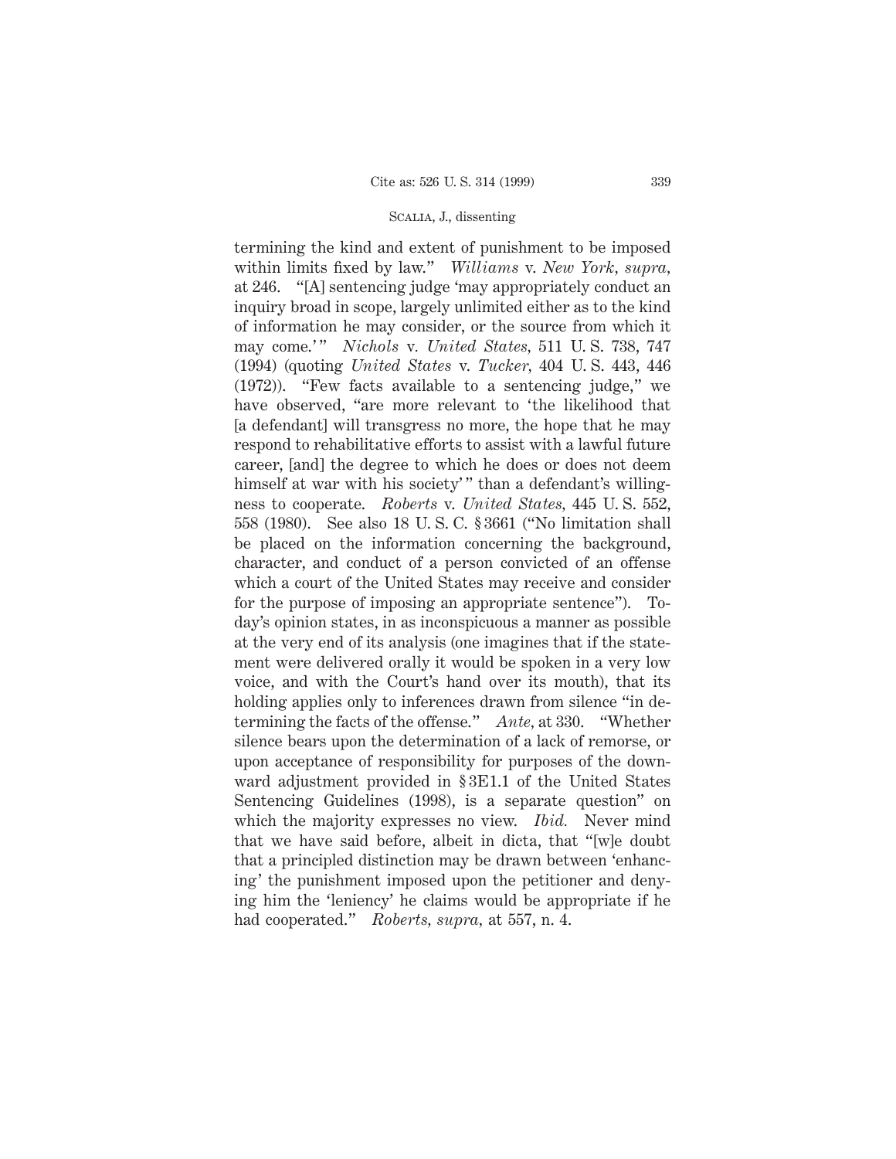termining the kind and extent of punishment to be imposed within limits fixed by law." *Williams* v. *New York, supra,* at 246. "[A] sentencing judge 'may appropriately conduct an inquiry broad in scope, largely unlimited either as to the kind of information he may consider, or the source from which it may come.'" *Nichols* v. United States, 511 U.S. 738, 747 (1994) (quoting *United States* v. *Tucker,* 404 U. S. 443, 446 (1972)). "Few facts available to a sentencing judge," we have observed, "are more relevant to 'the likelihood that [a defendant] will transgress no more, the hope that he may respond to rehabilitative efforts to assist with a lawful future career, [and] the degree to which he does or does not deem himself at war with his society'" than a defendant's willingness to cooperate. *Roberts* v. *United States,* 445 U. S. 552, 558 (1980). See also 18 U. S. C. § 3661 ("No limitation shall be placed on the information concerning the background, character, and conduct of a person convicted of an offense which a court of the United States may receive and consider for the purpose of imposing an appropriate sentence"). Today's opinion states, in as inconspicuous a manner as possible at the very end of its analysis (one imagines that if the statement were delivered orally it would be spoken in a very low voice, and with the Court's hand over its mouth), that its holding applies only to inferences drawn from silence "in determining the facts of the offense." *Ante,* at 330. "Whether silence bears upon the determination of a lack of remorse, or upon acceptance of responsibility for purposes of the downward adjustment provided in § 3E1.1 of the United States Sentencing Guidelines (1998), is a separate question" on which the majority expresses no view. *Ibid.* Never mind that we have said before, albeit in dicta, that "[w]e doubt that a principled distinction may be drawn between 'enhancing' the punishment imposed upon the petitioner and denying him the 'leniency' he claims would be appropriate if he had cooperated." *Roberts, supra,* at 557, n. 4.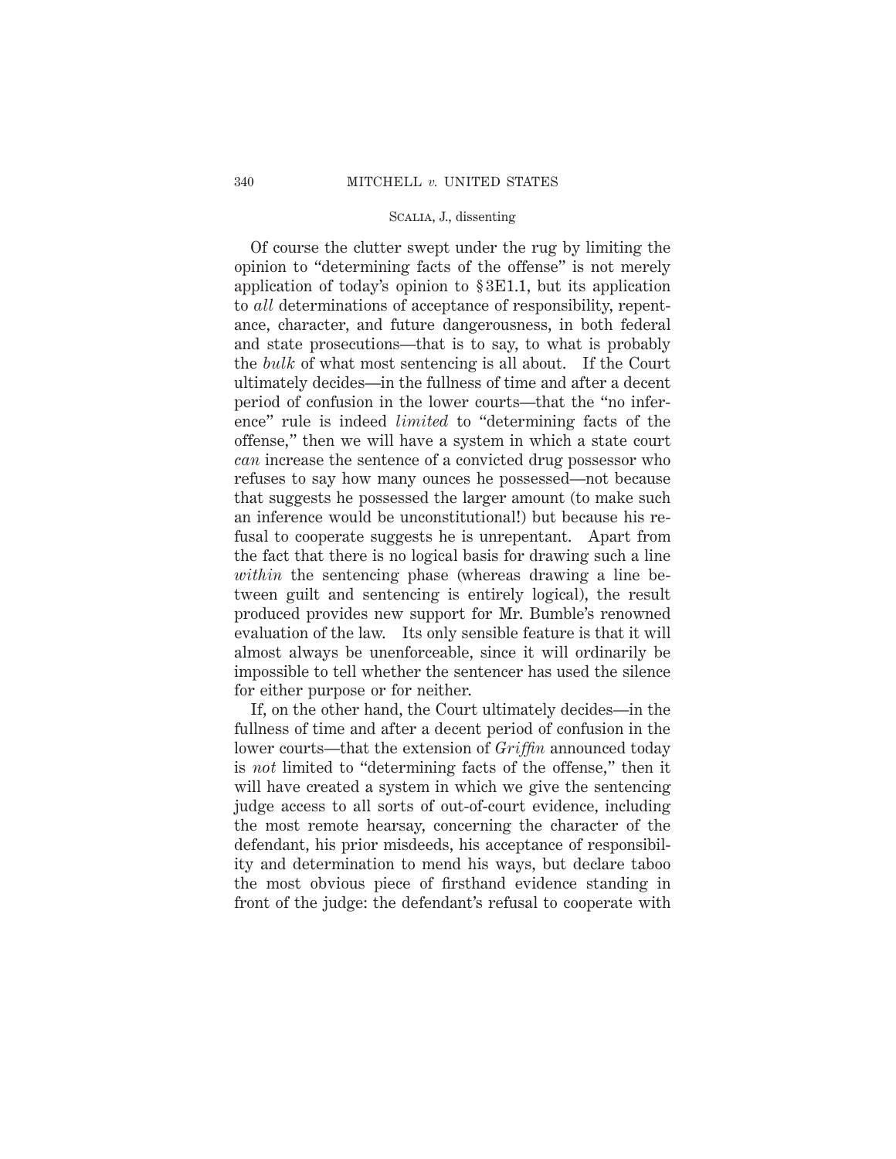Of course the clutter swept under the rug by limiting the opinion to "determining facts of the offense" is not merely application of today's opinion to § 3E1.1, but its application to *all* determinations of acceptance of responsibility, repentance, character, and future dangerousness, in both federal and state prosecutions—that is to say, to what is probably the *bulk* of what most sentencing is all about. If the Court ultimately decides—in the fullness of time and after a decent period of confusion in the lower courts—that the "no inference" rule is indeed *limited* to "determining facts of the offense," then we will have a system in which a state court *can* increase the sentence of a convicted drug possessor who refuses to say how many ounces he possessed—not because that suggests he possessed the larger amount (to make such an inference would be unconstitutional!) but because his refusal to cooperate suggests he is unrepentant. Apart from the fact that there is no logical basis for drawing such a line *within* the sentencing phase (whereas drawing a line between guilt and sentencing is entirely logical), the result produced provides new support for Mr. Bumble's renowned evaluation of the law. Its only sensible feature is that it will almost always be unenforceable, since it will ordinarily be impossible to tell whether the sentencer has used the silence for either purpose or for neither.

If, on the other hand, the Court ultimately decides—in the fullness of time and after a decent period of confusion in the lower courts—that the extension of *Griffin* announced today is *not* limited to "determining facts of the offense," then it will have created a system in which we give the sentencing judge access to all sorts of out-of-court evidence, including the most remote hearsay, concerning the character of the defendant, his prior misdeeds, his acceptance of responsibility and determination to mend his ways, but declare taboo the most obvious piece of firsthand evidence standing in front of the judge: the defendant's refusal to cooperate with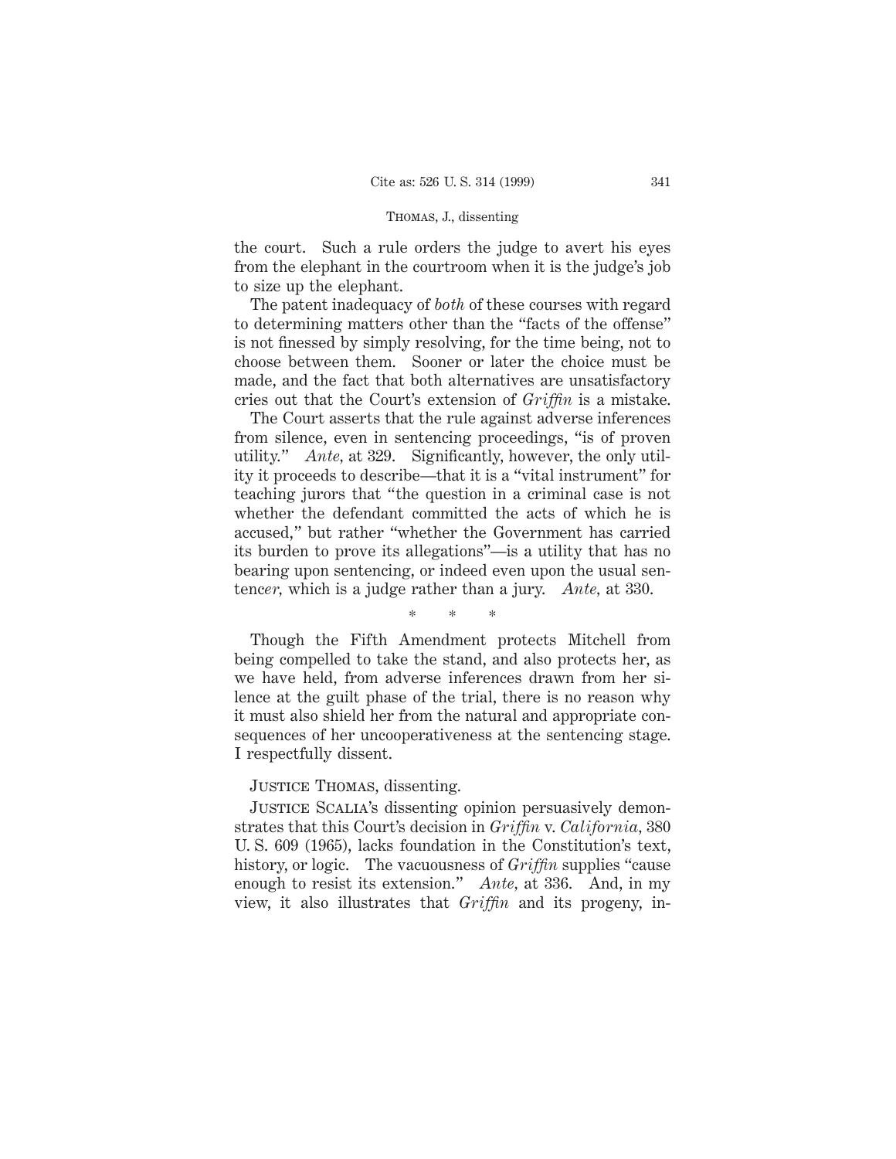# Thomas, J., dissenting

the court. Such a rule orders the judge to avert his eyes from the elephant in the courtroom when it is the judge's job to size up the elephant.

The patent inadequacy of *both* of these courses with regard to determining matters other than the "facts of the offense" is not finessed by simply resolving, for the time being, not to choose between them. Sooner or later the choice must be made, and the fact that both alternatives are unsatisfactory cries out that the Court's extension of *Griffin* is a mistake.

The Court asserts that the rule against adverse inferences from silence, even in sentencing proceedings, "is of proven utility." *Ante,* at 329. Significantly, however, the only utility it proceeds to describe—that it is a "vital instrument" for teaching jurors that "the question in a criminal case is not whether the defendant committed the acts of which he is accused," but rather "whether the Government has carried its burden to prove its allegations"—is a utility that has no bearing upon sentencing, or indeed even upon the usual sentenc*er,* which is a judge rather than a jury. *Ante,* at 330.

\*\*\*

Though the Fifth Amendment protects Mitchell from being compelled to take the stand, and also protects her, as we have held, from adverse inferences drawn from her silence at the guilt phase of the trial, there is no reason why it must also shield her from the natural and appropriate consequences of her uncooperativeness at the sentencing stage. I respectfully dissent.

# JUSTICE THOMAS, dissenting.

Justice Scalia's dissenting opinion persuasively demonstrates that this Court's decision in *Griffin* v. *California,* 380 U. S. 609 (1965), lacks foundation in the Constitution's text, history, or logic. The vacuousness of *Griffin* supplies "cause enough to resist its extension." *Ante,* at 336. And, in my view, it also illustrates that *Griffin* and its progeny, in-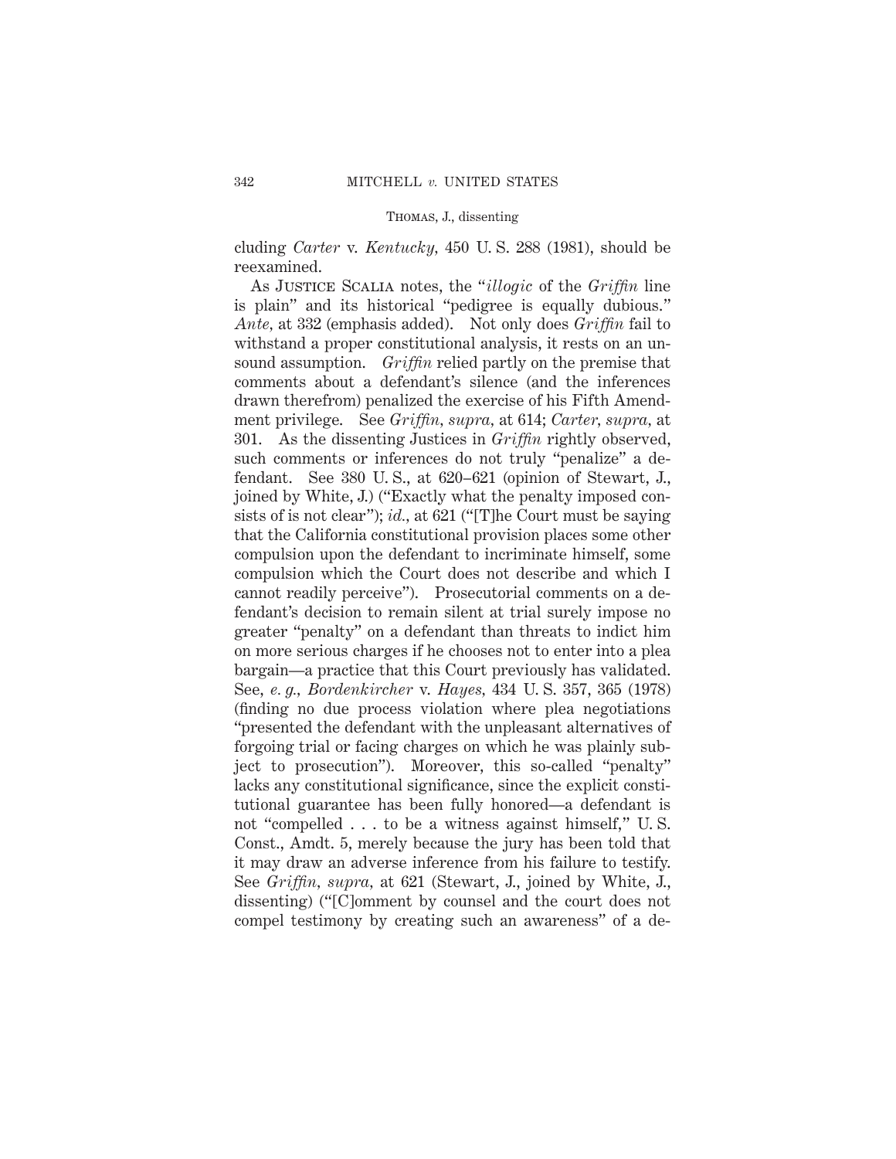# Thomas, J., dissenting

cluding *Carter* v. *Kentucky,* 450 U. S. 288 (1981), should be reexamined.

As Justice Scalia notes, the "*illogic* of the *Griffin* line is plain" and its historical "pedigree is equally dubious." *Ante,* at 332 (emphasis added). Not only does *Griffin* fail to withstand a proper constitutional analysis, it rests on an unsound assumption. *Griffin* relied partly on the premise that comments about a defendant's silence (and the inferences drawn therefrom) penalized the exercise of his Fifth Amendment privilege. See *Griffin, supra,* at 614; *Carter, supra,* at 301. As the dissenting Justices in *Griffin* rightly observed, such comments or inferences do not truly "penalize" a defendant. See 380 U. S., at 620–621 (opinion of Stewart, J., joined by White, J.) ("Exactly what the penalty imposed consists of is not clear"); *id.,* at 621 ("[T]he Court must be saying that the California constitutional provision places some other compulsion upon the defendant to incriminate himself, some compulsion which the Court does not describe and which I cannot readily perceive"). Prosecutorial comments on a defendant's decision to remain silent at trial surely impose no greater "penalty" on a defendant than threats to indict him on more serious charges if he chooses not to enter into a plea bargain—a practice that this Court previously has validated. See, *e. g., Bordenkircher* v. *Hayes,* 434 U. S. 357, 365 (1978) (finding no due process violation where plea negotiations "presented the defendant with the unpleasant alternatives of forgoing trial or facing charges on which he was plainly subject to prosecution"). Moreover, this so-called "penalty" lacks any constitutional significance, since the explicit constitutional guarantee has been fully honored—a defendant is not "compelled . . . to be a witness against himself," U. S. Const., Amdt. 5, merely because the jury has been told that it may draw an adverse inference from his failure to testify. See *Griffin, supra,* at 621 (Stewart, J., joined by White, J., dissenting) ("[C]omment by counsel and the court does not compel testimony by creating such an awareness" of a de-